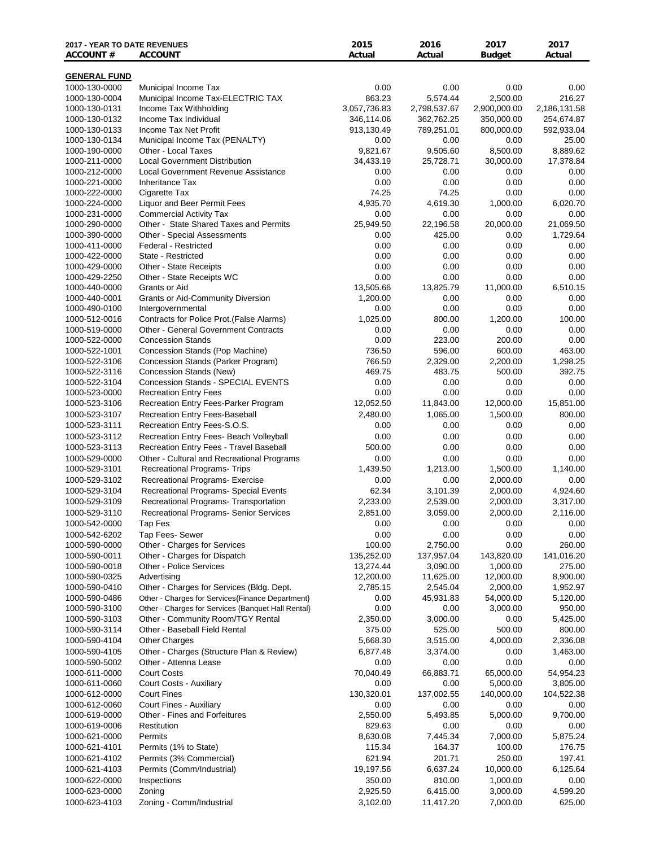| <b>2017 - YEAR TO DATE REVENUES</b><br><b>ACCOUNT#</b> | <b>ACCOUNT</b>                                                           | 2015<br>Actual     | 2016<br>Actual      | 2017<br><b>Budget</b> | 2017<br>Actual         |
|--------------------------------------------------------|--------------------------------------------------------------------------|--------------------|---------------------|-----------------------|------------------------|
| <b>GENERAL FUND</b>                                    |                                                                          |                    |                     |                       |                        |
| 1000-130-0000                                          | Municipal Income Tax                                                     | 0.00               | 0.00                | 0.00                  | 0.00                   |
| 1000-130-0004                                          | Municipal Income Tax-ELECTRIC TAX                                        | 863.23             | 5,574.44            | 2,500.00              | 216.27                 |
| 1000-130-0131                                          | Income Tax Withholding                                                   | 3,057,736.83       | 2,798,537.67        | 2,900,000.00          | 2,186,131.58           |
| 1000-130-0132                                          | Income Tax Individual                                                    | 346,114.06         | 362,762.25          | 350,000.00            | 254,674.87             |
| 1000-130-0133                                          | Income Tax Net Profit                                                    | 913,130.49         | 789,251.01          | 800,000.00            | 592,933.04             |
| 1000-130-0134                                          | Municipal Income Tax (PENALTY)                                           | 0.00               | 0.00                | 0.00                  | 25.00                  |
| 1000-190-0000                                          | Other - Local Taxes                                                      | 9,821.67           | 9,505.60            | 8,500.00              | 8,889.62               |
| 1000-211-0000                                          | <b>Local Government Distribution</b>                                     | 34,433.19          | 25,728.71           | 30,000.00             | 17,378.84              |
| 1000-212-0000                                          | <b>Local Government Revenue Assistance</b>                               | 0.00               | 0.00                | 0.00                  | 0.00                   |
| 1000-221-0000                                          | <b>Inheritance Tax</b>                                                   | 0.00               | 0.00                | 0.00                  | 0.00                   |
| 1000-222-0000                                          | Cigarette Tax                                                            | 74.25              | 74.25               | 0.00                  | 0.00                   |
| 1000-224-0000                                          | Liquor and Beer Permit Fees                                              | 4,935.70           | 4,619.30            | 1,000.00              | 6,020.70               |
| 1000-231-0000                                          | <b>Commercial Activity Tax</b><br>Other - State Shared Taxes and Permits | 0.00<br>25,949.50  | 0.00                | 0.00<br>20,000.00     | 0.00<br>21,069.50      |
| 1000-290-0000<br>1000-390-0000                         | Other - Special Assessments                                              | 0.00               | 22,196.58<br>425.00 | 0.00                  | 1,729.64               |
| 1000-411-0000                                          | <b>Federal - Restricted</b>                                              | 0.00               | 0.00                | 0.00                  | 0.00                   |
| 1000-422-0000                                          | State - Restricted                                                       | 0.00               | 0.00                | 0.00                  | 0.00                   |
| 1000-429-0000                                          | Other - State Receipts                                                   | 0.00               | 0.00                | 0.00                  | 0.00                   |
| 1000-429-2250                                          | Other - State Receipts WC                                                | 0.00               | 0.00                | 0.00                  | 0.00                   |
| 1000-440-0000                                          | Grants or Aid                                                            | 13,505.66          | 13,825.79           | 11,000.00             | 6,510.15               |
| 1000-440-0001                                          | <b>Grants or Aid-Community Diversion</b>                                 | 1,200.00           | 0.00                | 0.00                  | 0.00                   |
| 1000-490-0100                                          | Intergovernmental                                                        | 0.00               | 0.00                | 0.00                  | 0.00                   |
| 1000-512-0016                                          | Contracts for Police Prot. (False Alarms)                                | 1,025.00           | 800.00              | 1,200.00              | 100.00                 |
| 1000-519-0000                                          | <b>Other - General Government Contracts</b>                              | 0.00               | 0.00                | 0.00                  | 0.00                   |
| 1000-522-0000                                          | <b>Concession Stands</b>                                                 | 0.00               | 223.00              | 200.00                | 0.00                   |
| 1000-522-1001                                          | Concession Stands (Pop Machine)                                          | 736.50             | 596.00              | 600.00                | 463.00                 |
| 1000-522-3106                                          | Concession Stands (Parker Program)                                       | 766.50             | 2,329.00            | 2,200.00              | 1,298.25               |
| 1000-522-3116                                          | Concession Stands (New)                                                  | 469.75             | 483.75              | 500.00                | 392.75                 |
| 1000-522-3104                                          | Concession Stands - SPECIAL EVENTS                                       | 0.00               | 0.00                | 0.00                  | 0.00                   |
| 1000-523-0000                                          | <b>Recreation Entry Fees</b>                                             | 0.00               | 0.00                | 0.00                  | 0.00                   |
| 1000-523-3106                                          | Recreation Entry Fees-Parker Program                                     | 12,052.50          | 11,843.00           | 12,000.00             | 15,851.00              |
| 1000-523-3107                                          | Recreation Entry Fees-Baseball                                           | 2,480.00           | 1,065.00            | 1,500.00              | 800.00                 |
| 1000-523-3111                                          | Recreation Entry Fees-S.O.S.                                             | 0.00               | 0.00                | 0.00                  | 0.00                   |
| 1000-523-3112                                          | Recreation Entry Fees- Beach Volleyball                                  | 0.00               | 0.00                | 0.00                  | 0.00                   |
| 1000-523-3113                                          | Recreation Entry Fees - Travel Baseball                                  | 500.00             | 0.00                | 0.00                  | 0.00                   |
| 1000-529-0000                                          | Other - Cultural and Recreational Programs                               | 0.00               | 0.00                | 0.00                  | 0.00                   |
| 1000-529-3101                                          | Recreational Programs- Trips                                             | 1,439.50           | 1,213.00            | 1,500.00<br>2,000.00  | 1,140.00               |
| 1000-529-3102<br>1000-529-3104                         | Recreational Programs- Exercise<br>Recreational Programs- Special Events | 0.00<br>62.34      | 0.00<br>3,101.39    | 2,000.00              | 0.00<br>4,924.60       |
| 1000-529-3109                                          | Recreational Programs- Transportation                                    | 2,233.00           | 2,539.00            | 2,000.00              | 3,317.00               |
| 1000-529-3110                                          | Recreational Programs- Senior Services                                   | 2,851.00           | 3,059.00            | 2,000.00              | 2,116.00               |
| 1000-542-0000                                          | Tap Fes                                                                  | 0.00               | 0.00                | 0.00                  | 0.00                   |
| 1000-542-6202                                          | Tap Fees- Sewer                                                          | 0.00               | 0.00                | 0.00                  | 0.00                   |
| 1000-590-0000                                          | Other - Charges for Services                                             | 100.00             | 2,750.00            | 0.00                  | 260.00                 |
| 1000-590-0011                                          | Other - Charges for Dispatch                                             | 135,252.00         | 137,957.04          | 143,820.00            | 141,016.20             |
| 1000-590-0018                                          | <b>Other - Police Services</b>                                           | 13,274.44          | 3,090.00            | 1,000.00              | 275.00                 |
| 1000-590-0325                                          | Advertising                                                              | 12,200.00          | 11,625.00           | 12,000.00             | 8,900.00               |
| 1000-590-0410                                          | Other - Charges for Services (Bldg. Dept.                                | 2,785.15           | 2,545.04            | 2,000.00              | 1,952.97               |
| 1000-590-0486                                          | Other - Charges for Services {Finance Department}                        | 0.00               | 45,931.83           | 54,000.00             | 5,120.00               |
| 1000-590-3100                                          | Other - Charges for Services {Banquet Hall Rental}                       | 0.00               | 0.00                | 3,000.00              | 950.00                 |
| 1000-590-3103                                          | Other - Community Room/TGY Rental                                        | 2,350.00           | 3,000.00            | 0.00                  | 5,425.00               |
| 1000-590-3114                                          | Other - Baseball Field Rental                                            | 375.00             | 525.00              | 500.00                | 800.00                 |
| 1000-590-4104                                          | <b>Other Charges</b>                                                     | 5,668.30           | 3,515.00            | 4,000.00              | 2,336.08               |
| 1000-590-4105                                          | Other - Charges (Structure Plan & Review)                                | 6,877.48           | 3,374.00            | 0.00                  | 1,463.00               |
| 1000-590-5002                                          | Other - Attenna Lease                                                    | 0.00               | 0.00                | 0.00                  | 0.00                   |
| 1000-611-0000                                          | <b>Court Costs</b><br>Court Costs - Auxiliary                            | 70,040.49          | 66,883.71           | 65,000.00<br>5,000.00 | 54,954.23              |
| 1000-611-0060<br>1000-612-0000                         | <b>Court Fines</b>                                                       | 0.00<br>130,320.01 | 0.00<br>137,002.55  | 140,000.00            | 3,805.00<br>104,522.38 |
| 1000-612-0060                                          | Court Fines - Auxiliary                                                  | 0.00               | 0.00                | 0.00                  | 0.00                   |
| 1000-619-0000                                          | Other - Fines and Forfeitures                                            | 2,550.00           | 5,493.85            | 5,000.00              | 9,700.00               |
| 1000-619-0006                                          | Restitution                                                              | 829.63             | 0.00                | 0.00                  | 0.00                   |
| 1000-621-0000                                          | Permits                                                                  | 8,630.08           | 7,445.34            | 7,000.00              | 5,875.24               |
| 1000-621-4101                                          | Permits (1% to State)                                                    | 115.34             | 164.37              | 100.00                | 176.75                 |
| 1000-621-4102                                          | Permits (3% Commercial)                                                  | 621.94             | 201.71              | 250.00                | 197.41                 |
| 1000-621-4103                                          | Permits (Comm/Industrial)                                                | 19,197.56          | 6,637.24            | 10,000.00             | 6,125.64               |
| 1000-622-0000                                          | Inspections                                                              | 350.00             | 810.00              | 1,000.00              | 0.00                   |
| 1000-623-0000                                          | Zoning                                                                   | 2,925.50           | 6,415.00            | 3,000.00              | 4,599.20               |
| 1000-623-4103                                          | Zoning - Comm/Industrial                                                 | 3,102.00           | 11,417.20           | 7,000.00              | 625.00                 |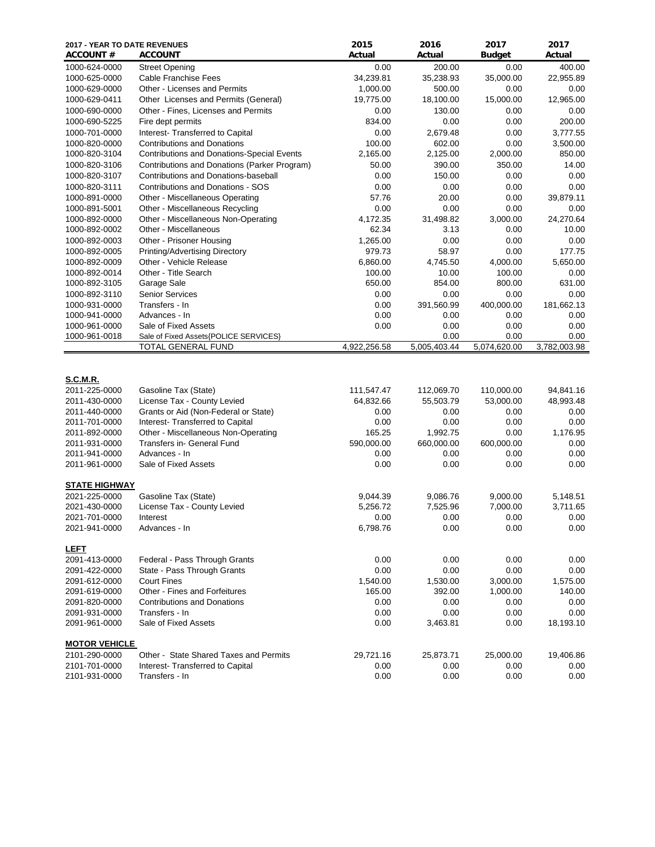| <b>2017 - YEAR TO DATE REVENUES</b><br><b>ACCOUNT #</b> | <b>ACCOUNT</b>                                              | 2015<br>Actual | 2016<br>Actual       | 2017<br><b>Budget</b> | 2017<br>Actual       |
|---------------------------------------------------------|-------------------------------------------------------------|----------------|----------------------|-----------------------|----------------------|
| 1000-624-0000                                           | <b>Street Opening</b>                                       | 0.00           | 200.00               | 0.00                  | 400.00               |
| 1000-625-0000                                           | <b>Cable Franchise Fees</b>                                 | 34,239.81      | 35,238.93            | 35,000.00             | 22,955.89            |
| 1000-629-0000                                           | Other - Licenses and Permits                                | 1,000.00       | 500.00               | 0.00                  | 0.00                 |
| 1000-629-0411                                           | Other Licenses and Permits (General)                        | 19,775.00      | 18,100.00            | 15,000.00             | 12,965.00            |
| 1000-690-0000                                           | Other - Fines, Licenses and Permits                         | 0.00           | 130.00               | 0.00                  | 0.00                 |
| 1000-690-5225                                           | Fire dept permits                                           | 834.00         | 0.00                 | 0.00                  | 200.00               |
| 1000-701-0000                                           | Interest- Transferred to Capital                            | 0.00           | 2,679.48             | 0.00                  | 3,777.55             |
| 1000-820-0000                                           | <b>Contributions and Donations</b>                          | 100.00         | 602.00               | 0.00                  | 3,500.00             |
| 1000-820-3104                                           | Contributions and Donations-Special Events                  | 2,165.00       | 2,125.00             | 2,000.00              | 850.00               |
| 1000-820-3106                                           | Contributions and Donations (Parker Program)                | 50.00          | 390.00               | 350.00                | 14.00                |
| 1000-820-3107                                           | Contributions and Donations-baseball                        | 0.00           | 150.00               | 0.00                  | 0.00                 |
| 1000-820-3111                                           | <b>Contributions and Donations - SOS</b>                    | 0.00           | 0.00                 | 0.00                  | 0.00                 |
| 1000-891-0000                                           | Other - Miscellaneous Operating                             | 57.76          | 20.00                | 0.00                  | 39,879.11            |
| 1000-891-5001                                           | Other - Miscellaneous Recycling                             | 0.00           | 0.00                 | 0.00                  | 0.00                 |
| 1000-892-0000                                           | Other - Miscellaneous Non-Operating                         | 4,172.35       | 31,498.82            | 3,000.00              | 24,270.64            |
| 1000-892-0002                                           | Other - Miscellaneous                                       | 62.34          | 3.13                 | 0.00                  | 10.00                |
| 1000-892-0003                                           | Other - Prisoner Housing                                    | 1,265.00       | 0.00                 | 0.00                  | 0.00                 |
| 1000-892-0005                                           | Printing/Advertising Directory                              | 979.73         | 58.97                | 0.00                  | 177.75               |
| 1000-892-0009                                           | Other - Vehicle Release                                     | 6,860.00       | 4,745.50             | 4,000.00              | 5,650.00             |
| 1000-892-0014                                           | Other - Title Search                                        | 100.00         | 10.00                | 100.00                | 0.00                 |
| 1000-892-3105                                           | Garage Sale                                                 | 650.00         | 854.00               | 800.00                | 631.00               |
| 1000-892-3110                                           | <b>Senior Services</b>                                      | 0.00           | 0.00                 | 0.00                  | 0.00                 |
| 1000-931-0000                                           | Transfers - In                                              | 0.00           | 391,560.99           | 400,000.00            | 181,662.13           |
| 1000-941-0000                                           | Advances - In                                               | 0.00           | 0.00                 | 0.00                  | 0.00                 |
| 1000-961-0000                                           | Sale of Fixed Assets                                        | 0.00           | 0.00                 | 0.00                  | 0.00                 |
| 1000-961-0018                                           | Sale of Fixed Assets{POLICE SERVICES}<br>TOTAL GENERAL FUND | 4,922,256.58   | 0.00<br>5,005,403.44 | 0.00<br>5,074,620.00  | 0.00<br>3,782,003.98 |
|                                                         |                                                             |                |                      |                       |                      |
| <b>S.C.M.R.</b>                                         |                                                             |                |                      |                       |                      |
| 2011-225-0000                                           | Gasoline Tax (State)                                        | 111,547.47     | 112,069.70           | 110,000.00            | 94,841.16            |
| 2011-430-0000                                           | License Tax - County Levied                                 | 64,832.66      | 55,503.79            | 53,000.00             | 48,993.48            |
| 2011-440-0000                                           | Grants or Aid (Non-Federal or State)                        | 0.00           | 0.00                 | 0.00                  | 0.00                 |
| 2011-701-0000                                           | Interest- Transferred to Capital                            | 0.00           | 0.00                 | 0.00                  | 0.00                 |
| 2011-892-0000                                           | Other - Miscellaneous Non-Operating                         | 165.25         | 1,992.75             | 0.00                  | 1,176.95             |
| 2011-931-0000                                           | Transfers in- General Fund                                  | 590,000.00     | 660,000.00           | 600,000.00            | 0.00                 |
| 2011-941-0000                                           | Advances - In                                               | 0.00           | 0.00                 | 0.00                  | 0.00                 |
| 2011-961-0000                                           | Sale of Fixed Assets                                        | 0.00           | 0.00                 | 0.00                  | 0.00                 |
| <b>STATE HIGHWAY</b>                                    |                                                             |                |                      |                       |                      |
| 2021-225-0000                                           | Gasoline Tax (State)                                        | 9,044.39       | 9,086.76             | 9,000.00              | 5,148.51             |
| 2021-430-0000                                           | License Tax - County Levied                                 | 5,256.72       | 7,525.96             | 7,000.00              | 3,711.65             |
| 2021-701-0000                                           | Interest                                                    | 0.00           | 0.00                 | 0.00                  | $0.00\,$             |
| 2021-941-0000                                           | Advances - In                                               | 6,798.76       | 0.00                 | 0.00                  | 0.00                 |
| <b>LEFT</b>                                             |                                                             |                |                      |                       |                      |
| 2091-413-0000                                           | Federal - Pass Through Grants                               | 0.00           | 0.00                 | 0.00                  | 0.00                 |
| 2091-422-0000                                           | State - Pass Through Grants                                 | 0.00           | 0.00                 | 0.00                  | 0.00                 |
| 2091-612-0000                                           | <b>Court Fines</b>                                          | 1,540.00       | 1,530.00             | 3,000.00              | 1,575.00             |
| 2091-619-0000                                           | Other - Fines and Forfeitures                               | 165.00         | 392.00               | 1,000.00              | 140.00               |
| 2091-820-0000                                           | <b>Contributions and Donations</b>                          | 0.00           | 0.00                 | 0.00                  | 0.00                 |
| 2091-931-0000                                           | Transfers - In                                              | 0.00           | 0.00                 | 0.00                  | 0.00                 |
| 2091-961-0000                                           | Sale of Fixed Assets                                        | 0.00           | 3,463.81             | 0.00                  | 18,193.10            |
| <b>MOTOR VEHICLE</b>                                    |                                                             |                |                      |                       |                      |
| 2101-290-0000                                           | Other - State Shared Taxes and Permits                      | 29,721.16      | 25,873.71            | 25,000.00             | 19,406.86            |
| 2101-701-0000                                           | Interest- Transferred to Capital                            | 0.00           | 0.00                 | 0.00                  | 0.00                 |
| 2101-931-0000                                           | Transfers - In                                              | 0.00           | 0.00                 | 0.00                  | 0.00                 |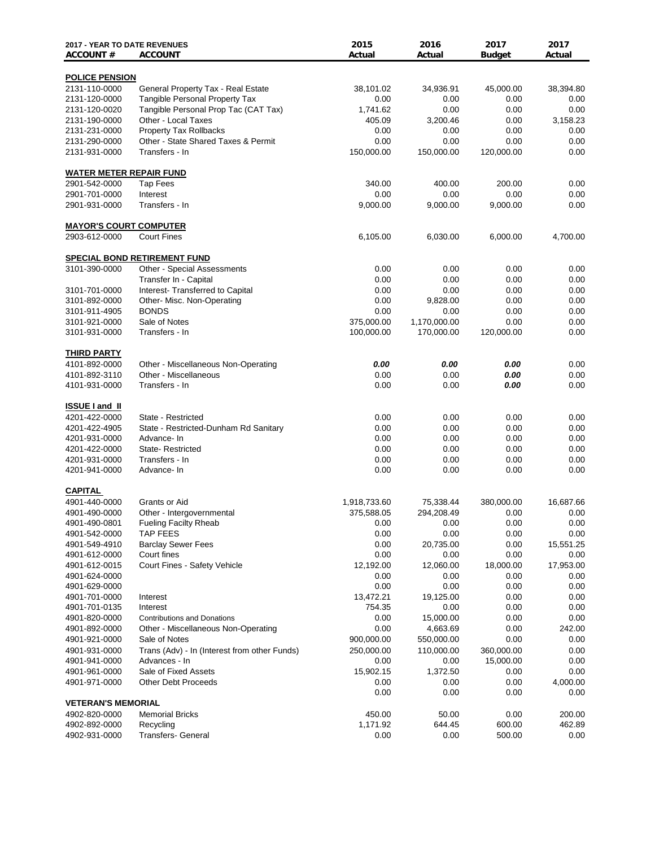| <b>2017 - YEAR TO DATE REVENUES</b><br><b>ACCOUNT#</b> | <b>ACCOUNT</b>                               | 2015<br>Actual    | 2016<br>Actual    | 2017<br><b>Budget</b> | 2017<br>Actual    |
|--------------------------------------------------------|----------------------------------------------|-------------------|-------------------|-----------------------|-------------------|
| <b>POLICE PENSION</b>                                  |                                              |                   |                   |                       |                   |
| 2131-110-0000                                          | General Property Tax - Real Estate           | 38,101.02         | 34,936.91         | 45,000.00             | 38,394.80         |
| 2131-120-0000                                          | <b>Tangible Personal Property Tax</b>        | 0.00              | 0.00              | 0.00                  | 0.00              |
| 2131-120-0020                                          | Tangible Personal Prop Tac (CAT Tax)         | 1,741.62          | 0.00              | 0.00                  | 0.00              |
| 2131-190-0000                                          | Other - Local Taxes                          | 405.09            | 3,200.46          | 0.00                  | 3,158.23          |
| 2131-231-0000                                          | <b>Property Tax Rollbacks</b>                | 0.00              | 0.00              | 0.00                  | 0.00              |
| 2131-290-0000                                          | Other - State Shared Taxes & Permit          | 0.00              | 0.00              | 0.00                  | 0.00              |
| 2131-931-0000                                          | Transfers - In                               | 150,000.00        | 150,000.00        | 120,000.00            | 0.00              |
| <b>WATER METER REPAIR FUND</b>                         |                                              |                   |                   |                       |                   |
| 2901-542-0000                                          | <b>Tap Fees</b>                              | 340.00            | 400.00            | 200.00                | 0.00              |
| 2901-701-0000                                          | Interest                                     | 0.00              | 0.00              | 0.00                  | 0.00              |
| 2901-931-0000                                          | Transfers - In                               | 9,000.00          | 9,000.00          | 9,000.00              | 0.00              |
| <b>MAYOR'S COURT COMPUTER</b>                          |                                              |                   |                   |                       |                   |
| 2903-612-0000                                          | <b>Court Fines</b>                           | 6,105.00          | 6,030.00          | 6,000.00              | 4,700.00          |
|                                                        | <b>SPECIAL BOND RETIREMENT FUND</b>          |                   |                   |                       |                   |
| 3101-390-0000                                          | <b>Other - Special Assessments</b>           | 0.00              | 0.00              | 0.00                  | 0.00              |
|                                                        | Transfer In - Capital                        | 0.00              | 0.00              | 0.00                  | 0.00              |
| 3101-701-0000                                          | Interest- Transferred to Capital             | 0.00              | 0.00              | 0.00                  | 0.00              |
| 3101-892-0000                                          | Other- Misc. Non-Operating                   | 0.00              | 9,828.00          | 0.00                  | 0.00              |
| 3101-911-4905                                          | <b>BONDS</b>                                 | 0.00              | 0.00              | 0.00                  | 0.00              |
| 3101-921-0000                                          | Sale of Notes                                | 375,000.00        | 1,170,000.00      | 0.00                  | 0.00              |
| 3101-931-0000                                          | Transfers - In                               | 100,000.00        | 170,000.00        | 120,000.00            | 0.00              |
| <b>THIRD PARTY</b>                                     |                                              |                   |                   |                       |                   |
| 4101-892-0000                                          | Other - Miscellaneous Non-Operating          | 0.00              | 0.00              | 0.00                  | 0.00              |
| 4101-892-3110                                          | Other - Miscellaneous                        | 0.00              | 0.00              | 0.00                  | 0.00              |
| 4101-931-0000                                          | Transfers - In                               | 0.00              | 0.00              | 0.00                  | 0.00              |
| <b>ISSUE I and II</b>                                  |                                              |                   |                   |                       |                   |
| 4201-422-0000                                          | State - Restricted                           | 0.00              | 0.00              | 0.00                  | 0.00              |
| 4201-422-4905                                          | State - Restricted-Dunham Rd Sanitary        | 0.00              | 0.00              | 0.00                  | 0.00              |
| 4201-931-0000                                          | Advance- In                                  | 0.00              | 0.00              | 0.00                  | 0.00              |
| 4201-422-0000                                          | State-Restricted                             | 0.00              | 0.00              | 0.00                  | 0.00              |
| 4201-931-0000                                          | Transfers - In                               | 0.00              | 0.00              | 0.00                  | 0.00              |
| 4201-941-0000                                          | Advance-In                                   | 0.00              | 0.00              | 0.00                  | 0.00              |
| <b>CAPITAL</b>                                         |                                              |                   |                   |                       |                   |
| 4901-440-0000                                          | Grants or Aid                                | 1,918,733.60      | 75,338.44         | 380,000.00            | 16,687.66         |
| 4901-490-0000                                          | Other - Intergovernmental                    | 375,588.05        | 294,208.49        | 0.00                  | $0.00\,$          |
| 4901-490-0801                                          | <b>Fueling Facilty Rheab</b>                 | 0.00              | 0.00              | 0.00                  | $0.00\,$          |
| 4901-542-0000                                          | <b>TAP FEES</b>                              | 0.00              | 0.00              | 0.00                  | 0.00              |
| 4901-549-4910                                          | <b>Barclay Sewer Fees</b>                    | 0.00              | 20,735.00         | 0.00                  | 15,551.25         |
| 4901-612-0000<br>4901-612-0015                         | Court fines<br>Court Fines - Safety Vehicle  | 0.00              | 0.00<br>12,060.00 | 0.00                  | 0.00<br>17,953.00 |
| 4901-624-0000                                          |                                              | 12,192.00<br>0.00 | 0.00              | 18,000.00<br>0.00     | 0.00              |
| 4901-629-0000                                          |                                              | 0.00              | 0.00              | 0.00                  | 0.00              |
| 4901-701-0000                                          | Interest                                     | 13,472.21         | 19,125.00         | 0.00                  | 0.00              |
| 4901-701-0135                                          | Interest                                     | 754.35            | 0.00              | 0.00                  | 0.00              |
| 4901-820-0000                                          | <b>Contributions and Donations</b>           | 0.00              | 15,000.00         | 0.00                  | 0.00              |
| 4901-892-0000                                          | Other - Miscellaneous Non-Operating          | 0.00              | 4,663.69          | 0.00                  | 242.00            |
| 4901-921-0000                                          | Sale of Notes                                | 900,000.00        | 550,000.00        | 0.00                  | 0.00              |
| 4901-931-0000                                          | Trans (Adv) - In (Interest from other Funds) | 250,000.00        | 110,000.00        | 360,000.00            | 0.00              |
| 4901-941-0000                                          | Advances - In                                | 0.00              | 0.00              | 15,000.00             | 0.00              |
| 4901-961-0000                                          | Sale of Fixed Assets                         | 15,902.15         | 1,372.50          | 0.00                  | 0.00              |
| 4901-971-0000                                          | <b>Other Debt Proceeds</b>                   | 0.00              | 0.00              | 0.00                  | 4,000.00          |
|                                                        |                                              | 0.00              | 0.00              | 0.00                  | 0.00              |
| <b>VETERAN'S MEMORIAL</b>                              |                                              |                   |                   |                       |                   |
| 4902-820-0000                                          | <b>Memorial Bricks</b>                       | 450.00            | 50.00             | 0.00                  | 200.00            |
| 4902-892-0000                                          | Recycling                                    | 1,171.92          | 644.45            | 600.00                | 462.89            |
| 4902-931-0000                                          | <b>Transfers- General</b>                    | 0.00              | 0.00              | 500.00                | $0.00\,$          |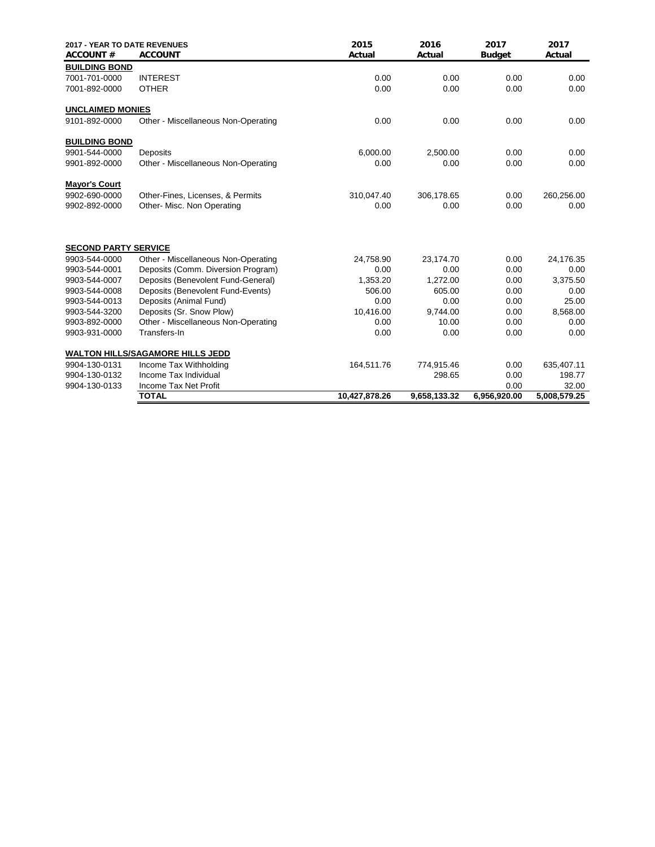| <b>2017 - YEAR TO DATE REVENUES</b><br><b>ACCOUNT#</b> | <b>ACCOUNT</b>                          | 2015<br>Actual | 2016<br>Actual | 2017<br><b>Budget</b> | 2017<br>Actual |
|--------------------------------------------------------|-----------------------------------------|----------------|----------------|-----------------------|----------------|
| <b>BUILDING BOND</b>                                   |                                         |                |                |                       |                |
| 7001-701-0000                                          | <b>INTEREST</b>                         | 0.00           | 0.00           | 0.00                  | 0.00           |
| 7001-892-0000                                          | <b>OTHER</b>                            | 0.00           | 0.00           | 0.00                  | 0.00           |
| <b>UNCLAIMED MONIES</b>                                |                                         |                |                |                       |                |
| 9101-892-0000                                          | Other - Miscellaneous Non-Operating     | 0.00           | 0.00           | 0.00                  | 0.00           |
| <b>BUILDING BOND</b>                                   |                                         |                |                |                       |                |
| 9901-544-0000                                          | Deposits                                | 6,000.00       | 2,500.00       | 0.00                  | 0.00           |
| 9901-892-0000                                          | Other - Miscellaneous Non-Operating     | 0.00           | 0.00           | 0.00                  | 0.00           |
| <b>Mayor's Court</b>                                   |                                         |                |                |                       |                |
| 9902-690-0000                                          | Other-Fines, Licenses, & Permits        | 310,047.40     | 306,178.65     | 0.00                  | 260,256.00     |
| 9902-892-0000                                          | Other- Misc. Non Operating              | 0.00           | 0.00           | 0.00                  | 0.00           |
| <b>SECOND PARTY SERVICE</b>                            |                                         |                |                |                       |                |
| 9903-544-0000                                          | Other - Miscellaneous Non-Operating     | 24,758.90      | 23,174.70      | 0.00                  | 24,176.35      |
| 9903-544-0001                                          | Deposits (Comm. Diversion Program)      | 0.00           | 0.00           | 0.00                  | 0.00           |
| 9903-544-0007                                          | Deposits (Benevolent Fund-General)      | 1,353.20       | 1,272.00       | 0.00                  | 3,375.50       |
| 9903-544-0008                                          | Deposits (Benevolent Fund-Events)       | 506.00         | 605.00         | 0.00                  | 0.00           |
| 9903-544-0013                                          | Deposits (Animal Fund)                  | 0.00           | 0.00           | 0.00                  | 25.00          |
| 9903-544-3200                                          | Deposits (Sr. Snow Plow)                | 10,416.00      | 9.744.00       | 0.00                  | 8,568.00       |
| 9903-892-0000                                          | Other - Miscellaneous Non-Operating     | 0.00           | 10.00          | 0.00                  | 0.00           |
| 9903-931-0000                                          | Transfers-In                            | 0.00           | 0.00           | 0.00                  | 0.00           |
|                                                        | <b>WALTON HILLS/SAGAMORE HILLS JEDD</b> |                |                |                       |                |
| 9904-130-0131                                          | Income Tax Withholding                  | 164,511.76     | 774,915.46     | 0.00                  | 635,407.11     |
| 9904-130-0132                                          | Income Tax Individual                   |                | 298.65         | 0.00                  | 198.77         |
| 9904-130-0133                                          | Income Tax Net Profit                   |                |                | 0.00                  | 32.00          |
|                                                        | <b>TOTAL</b>                            | 10,427,878.26  | 9,658,133.32   | 6,956,920.00          | 5,008,579.25   |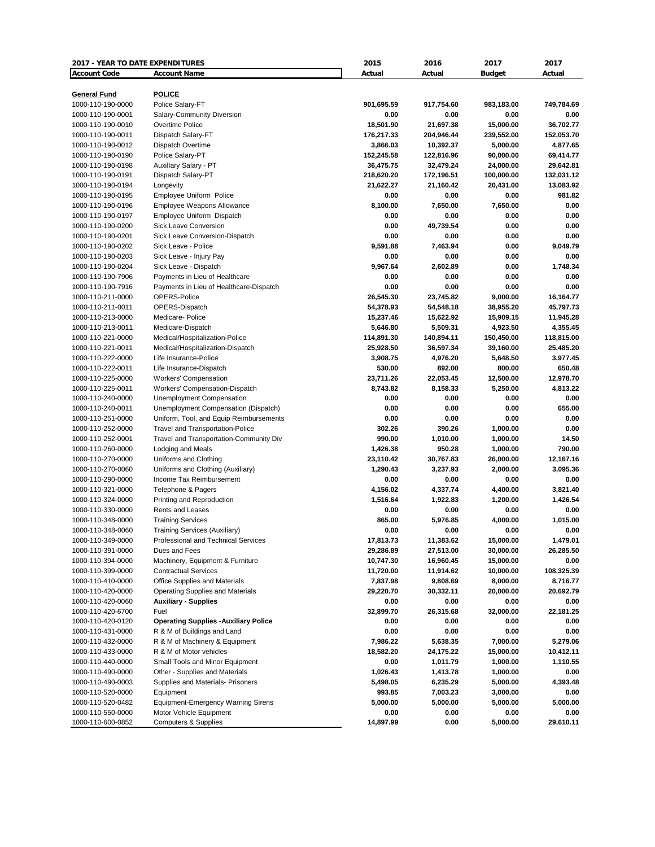| 2017 - YEAR TO DATE EXPENDITURES |                                              | 2015       | 2016       | 2017          | 2017       |
|----------------------------------|----------------------------------------------|------------|------------|---------------|------------|
| <b>Account Code</b>              | <b>Account Name</b>                          | Actual     | Actual     | <b>Budget</b> | Actual     |
|                                  |                                              |            |            |               |            |
| <b>General Fund</b>              | <b>POLICE</b>                                |            |            |               |            |
| 1000-110-190-0000                | Police Salary-FT                             | 901,695.59 | 917,754.60 | 983,183.00    | 749,784.69 |
| 1000-110-190-0001                | Salary-Community Diversion                   | 0.00       | 0.00       | 0.00          | 0.00       |
| 1000-110-190-0010                | Overtime Police                              | 18,501.90  | 21,697.38  | 15,000.00     | 36,702.77  |
| 1000-110-190-0011                | Dispatch Salary-FT                           | 176,217.33 | 204,946.44 | 239,552.00    | 152,053.70 |
| 1000-110-190-0012                | Dispatch Overtime                            | 3,866.03   | 10,392.37  | 5,000.00      | 4,877.65   |
| 1000-110-190-0190                | Police Salary-PT                             | 152,245.58 | 122,816.96 | 90,000.00     | 69,414.77  |
| 1000-110-190-0198                | Auxillary Salary - PT                        | 36,475.75  | 32,479.24  | 24,000.00     | 29,642.81  |
| 1000-110-190-0191                | Dispatch Salary-PT                           | 218,620.20 | 172,196.51 | 100,000.00    | 132,031.12 |
| 1000-110-190-0194                | Longevity                                    | 21,622.27  | 21,160.42  | 20,431.00     | 13,083.92  |
| 1000-110-190-0195                | Employee Uniform Police                      | 0.00       | 0.00       | 0.00          | 981.82     |
| 1000-110-190-0196                | Employee Weapons Allowance                   | 8,100.00   | 7.650.00   | 7,650.00      | 0.00       |
| 1000-110-190-0197                | Employee Uniform Dispatch                    | 0.00       | 0.00       | 0.00          | 0.00       |
| 1000-110-190-0200                | <b>Sick Leave Conversion</b>                 | 0.00       | 49,739.54  | 0.00          | 0.00       |
| 1000-110-190-0201                | Sick Leave Conversion-Dispatch               | 0.00       | 0.00       | 0.00          | 0.00       |
| 1000-110-190-0202                | Sick Leave - Police                          | 9,591.88   | 7,463.94   | 0.00          | 9,049.79   |
| 1000-110-190-0203                | Sick Leave - Injury Pay                      | 0.00       | 0.00       | 0.00          | 0.00       |
| 1000-110-190-0204                | Sick Leave - Dispatch                        | 9.967.64   | 2,602.89   | 0.00          | 1,748.34   |
| 1000-110-190-7906                | Payments in Lieu of Healthcare               | 0.00       | 0.00       | 0.00          | 0.00       |
| 1000-110-190-7916                | Payments in Lieu of Healthcare-Dispatch      | 0.00       | 0.00       | 0.00          | 0.00       |
| 1000-110-211-0000                | OPERS-Police                                 | 26,545.30  | 23,745.82  | 9,000.00      | 16,164.77  |
| 1000-110-211-0011                | OPERS-Dispatch                               | 54,378.93  | 54,548.18  | 38,955.20     | 45,797.73  |
| 1000-110-213-0000                | Medicare-Police                              | 15,237.46  | 15,622.92  | 15,909.15     | 11,945.28  |
| 1000-110-213-0011                | Medicare-Dispatch                            | 5,646.80   | 5,509.31   | 4,923.50      | 4,355.45   |
| 1000-110-221-0000                | Medical/Hospitalization-Police               | 114,891.30 | 140,894.11 | 150,450.00    | 118,815.00 |
| 1000-110-221-0011                | Medical/Hospitalization-Dispatch             | 25,928.50  | 36,597.34  | 39,160.00     | 25,485.20  |
| 1000-110-222-0000                | Life Insurance-Police                        | 3,908.75   | 4,976.20   | 5,648.50      | 3,977.45   |
| 1000-110-222-0011                | Life Insurance-Dispatch                      | 530.00     | 892.00     | 800.00        | 650.48     |
| 1000-110-225-0000                | <b>Workers' Compensation</b>                 | 23,711.26  | 22,053.45  | 12,500.00     | 12,978.70  |
| 1000-110-225-0011                | Workers' Compensation-Dispatch               | 8,743.82   | 8,158.33   | 5,250.00      | 4,813.22   |
| 1000-110-240-0000                | Unemployment Compensation                    | 0.00       | 0.00       | 0.00          | 0.00       |
| 1000-110-240-0011                | Unemployment Compensation (Dispatch)         | 0.00       | 0.00       | 0.00          | 655.00     |
| 1000-110-251-0000                | Uniform, Tool, and Equip Reimbursements      | 0.00       | 0.00       | 0.00          | 0.00       |
| 1000-110-252-0000                | <b>Travel and Transportation-Police</b>      | 302.26     | 390.26     | 1,000.00      | 0.00       |
| 1000-110-252-0001                | Travel and Transportation-Community Div      | 990.00     | 1,010.00   | 1,000.00      | 14.50      |
| 1000-110-260-0000                | Lodging and Meals                            | 1,426.38   | 950.28     | 1,000.00      | 790.00     |
| 1000-110-270-0000                | Uniforms and Clothing                        | 23,110.42  | 30,767.83  | 26,000.00     | 12,167.16  |
| 1000-110-270-0060                | Uniforms and Clothing (Auxiliary)            | 1,290.43   | 3,237.93   | 2,000.00      | 3,095.36   |
| 1000-110-290-0000                | Income Tax Reimbursement                     | 0.00       | 0.00       | 0.00          | 0.00       |
| 1000-110-321-0000                | Telephone & Pagers                           | 4,156.02   | 4,337.74   | 4,400.00      | 3,821.40   |
| 1000-110-324-0000                | Printing and Reproduction                    | 1,516.64   | 1,922.83   | 1,200.00      | 1,426.54   |
| 1000-110-330-0000                | Rents and Leases                             | 0.00       | 0.00       | 0.00          | 0.00       |
| 1000-110-348-0000                | <b>Training Services</b>                     | 865.00     | 5,976.85   | 4,000.00      | 1,015.00   |
| 1000-110-348-0060                | <b>Training Services (Auxiliary)</b>         | 0.00       | 0.00       | 0.00          | 0.00       |
| 1000-110-349-0000                | Professional and Technical Services          | 17,813.73  | 11,383.62  | 15,000.00     | 1,479.01   |
| 1000-110-391-0000                | Dues and Fees                                | 29,286.89  | 27,513.00  | 30,000.00     | 26,285.50  |
| 1000-110-394-0000                | Machinery, Equipment & Furniture             | 10,747.30  | 16,960.45  | 15,000.00     | 0.00       |
| 1000-110-399-0000                | <b>Contractual Services</b>                  | 11,720.00  | 11,914.62  | 10,000.00     | 108,325.39 |
| 1000-110-410-0000                | Office Supplies and Materials                | 7,837.98   | 9,808.69   | 8,000.00      | 8,716.77   |
| 1000-110-420-0000                | <b>Operating Supplies and Materials</b>      | 29,220.70  | 30,332.11  | 20,000.00     | 20,692.79  |
| 1000-110-420-0060                | <b>Auxiliary - Supplies</b>                  | 0.00       | 0.00       | 0.00          | 0.00       |
| 1000-110-420-6700                | Fuel                                         | 32,899.70  | 26,315.68  | 32,000.00     | 22,181.25  |
| 1000-110-420-0120                | <b>Operating Supplies - Auxiliary Police</b> | 0.00       | 0.00       | 0.00          | 0.00       |
| 1000-110-431-0000                | R & M of Buildings and Land                  | 0.00       | 0.00       | 0.00          | 0.00       |
| 1000-110-432-0000                | R & M of Machinery & Equipment               | 7,986.22   | 5,638.35   | 7,000.00      | 5,279.06   |
| 1000-110-433-0000                | R & M of Motor vehicles                      | 18,582.20  | 24,175.22  | 15,000.00     | 10,412.11  |
| 1000-110-440-0000                | Small Tools and Minor Equipment              | 0.00       | 1,011.79   | 1,000.00      | 1,110.55   |
| 1000-110-490-0000                | Other - Supplies and Materials               | 1,026.43   | 1,413.78   | 1,000.00      | 0.00       |
| 1000-110-490-0003                | Supplies and Materials- Prisoners            | 5,498.05   | 6,235.29   | 5,000.00      | 4,393.48   |
| 1000-110-520-0000                | Equipment                                    | 993.85     | 7,003.23   | 3,000.00      | 0.00       |
| 1000-110-520-0482                | <b>Equipment-Emergency Warning Sirens</b>    | 5,000.00   | 5,000.00   | 5,000.00      | 5,000.00   |
| 1000-110-550-0000                | Motor Vehicle Equipment                      | 0.00       | 0.00       | 0.00          | 0.00       |
| 1000-110-600-0852                | <b>Computers &amp; Supplies</b>              | 14,897.99  | 0.00       | 5,000.00      | 29,610.11  |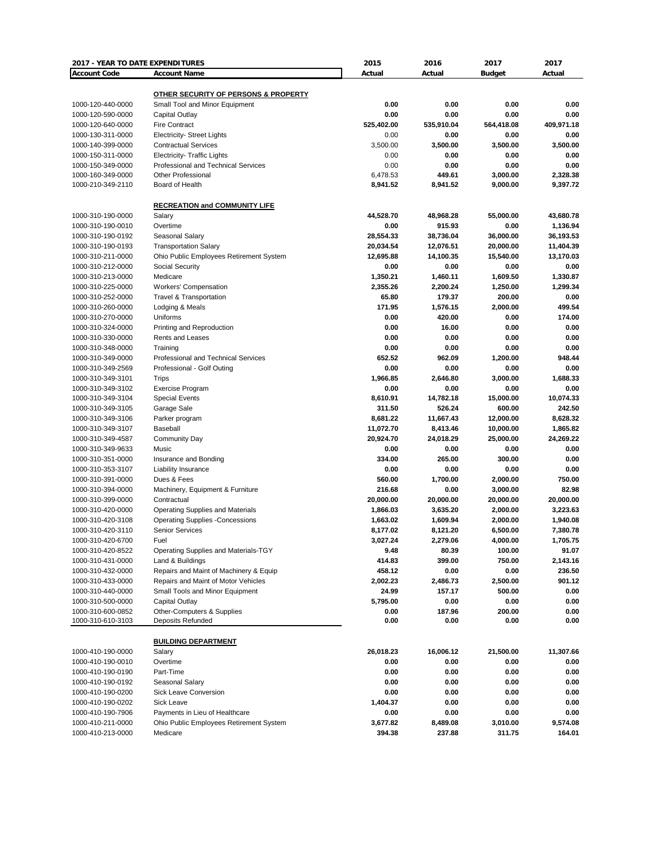| 2017 - YEAR TO DATE EXPENDITURES |                                         | 2015       | 2016       | 2017          | 2017       |
|----------------------------------|-----------------------------------------|------------|------------|---------------|------------|
| <b>Account Code</b>              | <b>Account Name</b>                     | Actual     | Actual     | <b>Budget</b> | Actual     |
|                                  |                                         |            |            |               |            |
|                                  | OTHER SECURITY OF PERSONS & PROPERTY    |            |            |               |            |
| 1000-120-440-0000                | Small Tool and Minor Equipment          | 0.00       | 0.00       | 0.00          | 0.00       |
| 1000-120-590-0000                | Capital Outlay                          | 0.00       | 0.00       | 0.00          | 0.00       |
| 1000-120-640-0000                | <b>Fire Contract</b>                    | 525,402.00 | 535,910.04 | 564,418.08    | 409,971.18 |
| 1000-130-311-0000                | <b>Electricity- Street Lights</b>       | 0.00       | 0.00       | 0.00          | 0.00       |
| 1000-140-399-0000                | <b>Contractual Services</b>             | 3,500.00   | 3,500.00   | 3,500.00      | 3,500.00   |
| 1000-150-311-0000                | <b>Electricity- Traffic Lights</b>      | 0.00       | 0.00       | 0.00          | 0.00       |
| 1000-150-349-0000                | Professional and Technical Services     | 0.00       | 0.00       | 0.00          | 0.00       |
| 1000-160-349-0000                | <b>Other Professional</b>               | 6.478.53   | 449.61     | 3,000.00      | 2,328.38   |
| 1000-210-349-2110                | Board of Health                         | 8,941.52   | 8,941.52   | 9,000.00      | 9,397.72   |
|                                  |                                         |            |            |               |            |
|                                  | <b>RECREATION and COMMUNITY LIFE</b>    |            |            |               |            |
| 1000-310-190-0000                | Salary                                  | 44,528.70  | 48,968.28  | 55,000.00     | 43,680.78  |
| 1000-310-190-0010                | Overtime                                | 0.00       | 915.93     | 0.00          | 1,136.94   |
| 1000-310-190-0192                | Seasonal Salary                         | 28,554.33  | 38,736.04  | 36,000.00     | 36,193.53  |
| 1000-310-190-0193                | <b>Transportation Salary</b>            | 20,034.54  | 12,076.51  | 20,000.00     | 11,404.39  |
| 1000-310-211-0000                | Ohio Public Employees Retirement System | 12,695.88  | 14,100.35  | 15,540.00     | 13,170.03  |
| 1000-310-212-0000                | Social Security                         | 0.00       | 0.00       | 0.00          | 0.00       |
|                                  | Medicare                                |            |            |               |            |
| 1000-310-213-0000                |                                         | 1,350.21   | 1,460.11   | 1,609.50      | 1,330.87   |
| 1000-310-225-0000                | <b>Workers' Compensation</b>            | 2,355.26   | 2,200.24   | 1,250.00      | 1,299.34   |
| 1000-310-252-0000                | Travel & Transportation                 | 65.80      | 179.37     | 200.00        | 0.00       |
| 1000-310-260-0000                | Lodging & Meals                         | 171.95     | 1,576.15   | 2,000.00      | 499.54     |
| 1000-310-270-0000                | Uniforms                                | 0.00       | 420.00     | 0.00          | 174.00     |
| 1000-310-324-0000                | Printing and Reproduction               | 0.00       | 16.00      | 0.00          | 0.00       |
| 1000-310-330-0000                | Rents and Leases                        | 0.00       | 0.00       | 0.00          | 0.00       |
| 1000-310-348-0000                | Training                                | 0.00       | 0.00       | 0.00          | 0.00       |
| 1000-310-349-0000                | Professional and Technical Services     | 652.52     | 962.09     | 1,200.00      | 948.44     |
| 1000-310-349-2569                | Professional - Golf Outing              | 0.00       | 0.00       | 0.00          | 0.00       |
| 1000-310-349-3101                | Trips                                   | 1,966.85   | 2,646.80   | 3,000.00      | 1,688.33   |
| 1000-310-349-3102                | <b>Exercise Program</b>                 | 0.00       | 0.00       | 0.00          | 0.00       |
| 1000-310-349-3104                | <b>Special Events</b>                   | 8,610.91   | 14,782.18  | 15,000.00     | 10,074.33  |
| 1000-310-349-3105                | Garage Sale                             | 311.50     | 526.24     | 600.00        | 242.50     |
| 1000-310-349-3106                | Parker program                          | 8,681.22   | 11,667.43  | 12,000.00     | 8,628.32   |
| 1000-310-349-3107                | Baseball                                | 11,072.70  | 8,413.46   | 10,000.00     | 1,865.82   |
| 1000-310-349-4587                | <b>Community Day</b>                    | 20,924.70  | 24,018.29  | 25,000.00     | 24,269.22  |
| 1000-310-349-9633                | Music                                   | 0.00       | 0.00       | 0.00          | 0.00       |
| 1000-310-351-0000                | Insurance and Bonding                   | 334.00     | 265.00     | 300.00        | 0.00       |
| 1000-310-353-3107                | Liability Insurance                     | 0.00       | 0.00       | 0.00          | 0.00       |
| 1000-310-391-0000                | Dues & Fees                             | 560.00     | 1,700.00   | 2,000.00      | 750.00     |
| 1000-310-394-0000                | Machinery, Equipment & Furniture        | 216.68     | 0.00       | 3,000.00      | 82.98      |
| 1000-310-399-0000                | Contractual                             | 20,000.00  | 20,000.00  | 20,000.00     | 20,000.00  |
| 1000-310-420-0000                | <b>Operating Supplies and Materials</b> | 1,866.03   | 3,635.20   | 2,000.00      | 3,223.63   |
| 1000-310-420-3108                | <b>Operating Supplies -Concessions</b>  | 1,663.02   | 1,609.94   | 2,000.00      | 1,940.08   |
| 1000-310-420-3110                | <b>Senior Services</b>                  | 8,177.02   | 8,121.20   | 6,500.00      | 7,380.78   |
| 1000-310-420-6700                | Fuel                                    | 3,027.24   | 2,279.06   | 4,000.00      | 1,705.75   |
| 1000-310-420-8522                | Operating Supplies and Materials-TGY    | 9.48       | 80.39      | 100.00        | 91.07      |
| 1000-310-431-0000                | Land & Buildings                        | 414.83     | 399.00     | 750.00        | 2,143.16   |
| 1000-310-432-0000                | Repairs and Maint of Machinery & Equip  | 458.12     | 0.00       | 0.00          | 236.50     |
| 1000-310-433-0000                | Repairs and Maint of Motor Vehicles     | 2,002.23   | 2,486.73   | 2,500.00      | 901.12     |
|                                  |                                         |            |            |               |            |
| 1000-310-440-0000                | Small Tools and Minor Equipment         | 24.99      | 157.17     | 500.00        | 0.00       |
| 1000-310-500-0000                | Capital Outlay                          | 5,795.00   | 0.00       | 0.00          | 0.00       |
| 1000-310-600-0852                | Other-Computers & Supplies              | 0.00       | 187.96     | 200.00        | 0.00       |
| 1000-310-610-3103                | Deposits Refunded                       | 0.00       | 0.00       | 0.00          | 0.00       |
|                                  |                                         |            |            |               |            |
|                                  | <b>BUILDING DEPARTMENT</b>              |            |            |               |            |
| 1000-410-190-0000                | Salary                                  | 26,018.23  | 16,006.12  | 21,500.00     | 11,307.66  |
| 1000-410-190-0010                | Overtime                                | 0.00       | 0.00       | 0.00          | 0.00       |
| 1000-410-190-0190                | Part-Time                               | 0.00       | 0.00       | 0.00          | 0.00       |
| 1000-410-190-0192                | Seasonal Salary                         | 0.00       | 0.00       | 0.00          | 0.00       |
| 1000-410-190-0200                | Sick Leave Conversion                   | 0.00       | 0.00       | 0.00          | 0.00       |
| 1000-410-190-0202                | <b>Sick Leave</b>                       | 1,404.37   | 0.00       | 0.00          | 0.00       |
| 1000-410-190-7906                | Payments in Lieu of Healthcare          | 0.00       | 0.00       | 0.00          | 0.00       |
| 1000-410-211-0000                | Ohio Public Employees Retirement System | 3,677.82   | 8,489.08   | 3,010.00      | 9,574.08   |
| 1000-410-213-0000                | Medicare                                | 394.38     | 237.88     | 311.75        | 164.01     |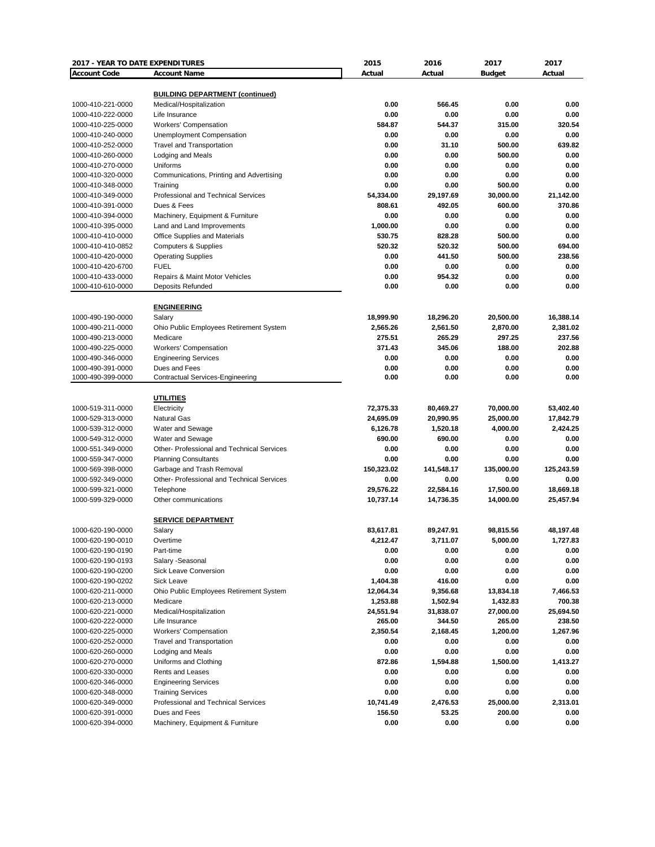| 2017 - YEAR TO DATE EXPENDITURES       |                                                        | 2015           | 2016           | 2017           | 2017           |
|----------------------------------------|--------------------------------------------------------|----------------|----------------|----------------|----------------|
| <b>Account Code</b>                    | <b>Account Name</b>                                    | Actual         | Actual         | <b>Budget</b>  | Actual         |
|                                        |                                                        |                |                |                |                |
|                                        | <b>BUILDING DEPARTMENT (continued)</b>                 |                |                |                |                |
| 1000-410-221-0000                      | Medical/Hospitalization                                | 0.00           | 566.45         | 0.00           | 0.00           |
| 1000-410-222-0000                      | Life Insurance<br><b>Workers' Compensation</b>         | 0.00<br>584.87 | 0.00<br>544.37 | 0.00           | 0.00<br>320.54 |
| 1000-410-225-0000                      |                                                        |                | 0.00           | 315.00         | 0.00           |
| 1000-410-240-0000<br>1000-410-252-0000 | Unemployment Compensation<br>Travel and Transportation | 0.00<br>0.00   | 31.10          | 0.00<br>500.00 | 639.82         |
| 1000-410-260-0000                      | Lodging and Meals                                      | 0.00           | 0.00           | 500.00         | 0.00           |
| 1000-410-270-0000                      | Uniforms                                               | 0.00           | 0.00           | 0.00           | 0.00           |
| 1000-410-320-0000                      | Communications, Printing and Advertising               | 0.00           | 0.00           | 0.00           | 0.00           |
| 1000-410-348-0000                      | Training                                               | 0.00           | 0.00           | 500.00         | 0.00           |
| 1000-410-349-0000                      | Professional and Technical Services                    | 54,334.00      | 29,197.69      | 30,000.00      | 21,142.00      |
| 1000-410-391-0000                      | Dues & Fees                                            | 808.61         | 492.05         | 600.00         | 370.86         |
| 1000-410-394-0000                      | Machinery, Equipment & Furniture                       | 0.00           | 0.00           | 0.00           | 0.00           |
| 1000-410-395-0000                      | Land and Land Improvements                             | 1,000.00       | 0.00           | 0.00           | 0.00           |
| 1000-410-410-0000                      | Office Supplies and Materials                          | 530.75         | 828.28         | 500.00         | 0.00           |
| 1000-410-410-0852                      | <b>Computers &amp; Supplies</b>                        | 520.32         | 520.32         | 500.00         | 694.00         |
| 1000-410-420-0000                      | <b>Operating Supplies</b>                              | 0.00           | 441.50         | 500.00         | 238.56         |
| 1000-410-420-6700                      | <b>FUEL</b>                                            | 0.00           | 0.00           | 0.00           | 0.00           |
| 1000-410-433-0000                      | Repairs & Maint Motor Vehicles                         | 0.00           | 954.32         | 0.00           | 0.00           |
| 1000-410-610-0000                      | <b>Deposits Refunded</b>                               | 0.00           | 0.00           | 0.00           | 0.00           |
|                                        |                                                        |                |                |                |                |
|                                        | <b>ENGINEERING</b>                                     |                |                |                |                |
| 1000-490-190-0000                      | Salary                                                 | 18,999.90      | 18,296.20      | 20,500.00      | 16,388.14      |
| 1000-490-211-0000                      | Ohio Public Employees Retirement System                | 2,565.26       | 2,561.50       | 2,870.00       | 2,381.02       |
| 1000-490-213-0000                      | Medicare                                               | 275.51         | 265.29         | 297.25         | 237.56         |
| 1000-490-225-0000                      | Workers' Compensation                                  | 371.43         | 345.06         | 188.00         | 202.88         |
| 1000-490-346-0000                      | <b>Engineering Services</b>                            | 0.00           | 0.00           | 0.00           | 0.00           |
| 1000-490-391-0000                      | Dues and Fees                                          | 0.00           | 0.00           | 0.00           | 0.00           |
| 1000-490-399-0000                      | <b>Contractual Services-Engineering</b>                | 0.00           | 0.00           | 0.00           | 0.00           |
|                                        |                                                        |                |                |                |                |
|                                        | <b>UTILITIES</b>                                       |                |                |                |                |
| 1000-519-311-0000                      | Electricity                                            | 72,375.33      | 80,469.27      | 70,000.00      | 53,402.40      |
| 1000-529-313-0000                      | <b>Natural Gas</b>                                     | 24,695.09      | 20,990.95      | 25,000.00      | 17,842.79      |
| 1000-539-312-0000                      | Water and Sewage                                       | 6,126.78       | 1,520.18       | 4,000.00       | 2,424.25       |
| 1000-549-312-0000                      | Water and Sewage                                       | 690.00         | 690.00         | 0.00           | 0.00           |
| 1000-551-349-0000                      | Other- Professional and Technical Services             | 0.00           | 0.00           | 0.00           | 0.00           |
| 1000-559-347-0000                      | <b>Planning Consultants</b>                            | 0.00           | 0.00           | 0.00           | 0.00           |
| 1000-569-398-0000                      | Garbage and Trash Removal                              | 150,323.02     | 141,548.17     | 135,000.00     | 125,243.59     |
| 1000-592-349-0000                      | <b>Other-Professional and Technical Services</b>       | 0.00           | 0.00           | 0.00           | 0.00           |
| 1000-599-321-0000                      | Telephone                                              | 29,576.22      | 22,584.16      | 17,500.00      | 18,669.18      |
| 1000-599-329-0000                      | Other communications                                   | 10,737.14      | 14,736.35      | 14,000.00      | 25,457.94      |
|                                        |                                                        |                |                |                |                |
|                                        | <b>SERVICE DEPARTMENT</b>                              |                |                |                |                |
| 1000-620-190-0000                      | Salary                                                 | 83,617.81      | 89,247.91      | 98,815.56      | 48,197.48      |
| 1000-620-190-0010                      | Overtime                                               | 4,212.47       | 3,711.07       | 5,000.00       | 1,727.83       |
| 1000-620-190-0190                      | Part-time                                              | 0.00           | 0.00           | 0.00           | 0.00           |
| 1000-620-190-0193                      | Salary -Seasonal                                       | 0.00           | 0.00           | 0.00           | 0.00           |
| 1000-620-190-0200                      | Sick Leave Conversion                                  | 0.00           | 0.00           | 0.00           | 0.00           |
| 1000-620-190-0202                      | Sick Leave                                             | 1,404.38       | 416.00         | 0.00           | 0.00           |
| 1000-620-211-0000                      | Ohio Public Employees Retirement System                | 12,064.34      | 9,356.68       | 13,834.18      | 7,466.53       |
| 1000-620-213-0000                      | Medicare                                               | 1,253.88       | 1,502.94       | 1,432.83       | 700.38         |
| 1000-620-221-0000<br>1000-620-222-0000 | Medical/Hospitalization                                | 24,551.94      | 31,838.07      | 27,000.00      | 25,694.50      |
|                                        | Life Insurance<br><b>Workers' Compensation</b>         | 265.00         | 344.50         | 265.00         | 238.50         |
| 1000-620-225-0000                      |                                                        | 2,350.54       | 2,168.45       | 1,200.00       | 1,267.96       |
| 1000-620-252-0000                      | <b>Travel and Transportation</b>                       | 0.00           | 0.00           | 0.00           | 0.00<br>0.00   |
| 1000-620-260-0000                      | Lodging and Meals                                      | 0.00           | 0.00           | 0.00           |                |
| 1000-620-270-0000                      | Uniforms and Clothing                                  | 872.86         | 1,594.88       | 1,500.00       | 1,413.27       |
| 1000-620-330-0000<br>1000-620-346-0000 | Rents and Leases<br><b>Engineering Services</b>        | 0.00<br>0.00   | 0.00<br>0.00   | 0.00<br>0.00   | 0.00<br>0.00   |
| 1000-620-348-0000                      | <b>Training Services</b>                               | 0.00           | 0.00           | 0.00           | 0.00           |
| 1000-620-349-0000                      | Professional and Technical Services                    | 10,741.49      | 2,476.53       | 25,000.00      | 2,313.01       |
| 1000-620-391-0000                      | Dues and Fees                                          | 156.50         | 53.25          | 200.00         | 0.00           |
| 1000-620-394-0000                      | Machinery, Equipment & Furniture                       | 0.00           | 0.00           | 0.00           | 0.00           |
|                                        |                                                        |                |                |                |                |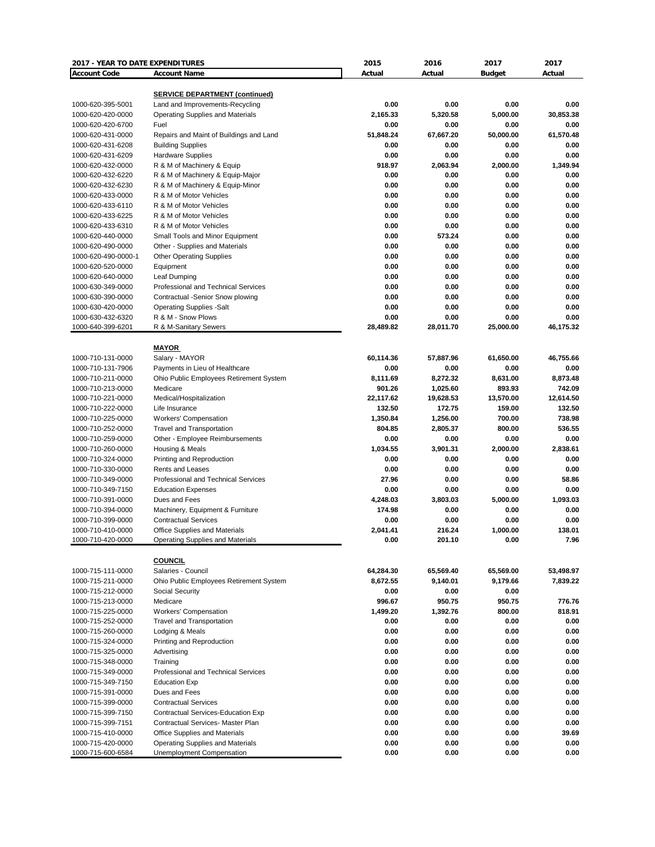| 2017 - YEAR TO DATE EXPENDITURES       |                                                             | 2015                | 2016                | 2017                | 2017                |
|----------------------------------------|-------------------------------------------------------------|---------------------|---------------------|---------------------|---------------------|
| <b>Account Code</b>                    | <b>Account Name</b>                                         | Actual              | Actual              | <b>Budget</b>       | Actual              |
|                                        |                                                             |                     |                     |                     |                     |
|                                        | <b>SERVICE DEPARTMENT (continued)</b>                       |                     |                     |                     |                     |
| 1000-620-395-5001                      | Land and Improvements-Recycling                             | 0.00                | 0.00                | 0.00                | 0.00                |
| 1000-620-420-0000                      | <b>Operating Supplies and Materials</b>                     | 2,165.33            | 5,320.58            | 5.000.00            | 30,853.38           |
| 1000-620-420-6700                      | Fuel                                                        | 0.00                | 0.00                | 0.00                | 0.00                |
| 1000-620-431-0000                      | Repairs and Maint of Buildings and Land                     | 51,848.24           | 67,667.20           | 50,000.00           | 61,570.48           |
| 1000-620-431-6208                      | <b>Building Supplies</b>                                    | 0.00                | 0.00                | 0.00                | 0.00                |
| 1000-620-431-6209                      | <b>Hardware Supplies</b>                                    | 0.00                | 0.00                | 0.00                | 0.00                |
| 1000-620-432-0000                      | R & M of Machinery & Equip                                  | 918.97              | 2,063.94            | 2,000.00            | 1,349.94            |
| 1000-620-432-6220                      | R & M of Machinery & Equip-Major                            | 0.00                | 0.00                | 0.00                | 0.00                |
| 1000-620-432-6230                      | R & M of Machinery & Equip-Minor<br>R & M of Motor Vehicles | 0.00                | 0.00                | 0.00                | 0.00                |
| 1000-620-433-0000                      |                                                             | 0.00                | 0.00                | 0.00                | 0.00                |
| 1000-620-433-6110                      | R & M of Motor Vehicles                                     | 0.00                | 0.00                | 0.00                | 0.00                |
| 1000-620-433-6225                      | R & M of Motor Vehicles                                     | 0.00                | 0.00                | 0.00                | 0.00                |
| 1000-620-433-6310                      | R & M of Motor Vehicles                                     | 0.00<br>0.00        | 0.00                | 0.00                | 0.00<br>0.00        |
| 1000-620-440-0000                      | Small Tools and Minor Equipment                             |                     | 573.24<br>0.00      | 0.00                | 0.00                |
| 1000-620-490-0000                      | Other - Supplies and Materials                              | 0.00<br>0.00        | 0.00                | 0.00<br>0.00        | 0.00                |
| 1000-620-490-0000-1                    | <b>Other Operating Supplies</b>                             | 0.00                | 0.00                | 0.00                | 0.00                |
| 1000-620-520-0000                      | Equipment                                                   |                     |                     |                     |                     |
| 1000-620-640-0000                      | Leaf Dumping                                                | 0.00                | 0.00                | 0.00                | 0.00                |
| 1000-630-349-0000                      | Professional and Technical Services                         | 0.00                | 0.00                | 0.00                | 0.00                |
| 1000-630-390-0000                      | Contractual -Senior Snow plowing                            | 0.00                | 0.00                | 0.00                | 0.00                |
| 1000-630-420-0000                      | <b>Operating Supplies -Salt</b>                             | 0.00                | 0.00                | 0.00                | 0.00                |
| 1000-630-432-6320                      | R & M - Snow Plows                                          | 0.00<br>28,489.82   | 0.00                | 0.00                | 0.00                |
| 1000-640-399-6201                      | R & M-Sanitary Sewers                                       |                     | 28,011.70           | 25,000.00           | 46,175.32           |
|                                        | <b>MAYOR</b>                                                |                     |                     |                     |                     |
| 1000-710-131-0000                      | Salary - MAYOR                                              | 60,114.36           | 57,887.96           | 61,650.00           | 46,755.66           |
| 1000-710-131-7906                      | Payments in Lieu of Healthcare                              | 0.00                | 0.00                | 0.00                | 0.00                |
|                                        |                                                             | 8,111.69            |                     |                     | 8,873.48            |
| 1000-710-211-0000<br>1000-710-213-0000 | Ohio Public Employees Retirement System                     | 901.26              | 8,272.32            | 8,631.00<br>893.93  | 742.09              |
| 1000-710-221-0000                      | Medicare                                                    |                     | 1,025.60            |                     |                     |
| 1000-710-222-0000                      | Medical/Hospitalization<br>Life Insurance                   | 22,117.62<br>132.50 | 19,628.53<br>172.75 | 13,570.00<br>159.00 | 12,614.50<br>132.50 |
|                                        |                                                             |                     | 1,256.00            | 700.00              | 738.98              |
| 1000-710-225-0000                      | <b>Workers' Compensation</b>                                | 1,350.84            |                     |                     | 536.55              |
| 1000-710-252-0000                      | <b>Travel and Transportation</b>                            | 804.85<br>0.00      | 2,805.37<br>0.00    | 800.00<br>0.00      | 0.00                |
| 1000-710-259-0000                      | Other - Employee Reimbursements                             |                     |                     |                     |                     |
| 1000-710-260-0000                      | Housing & Meals                                             | 1,034.55            | 3,901.31            | 2,000.00            | 2,838.61            |
| 1000-710-324-0000                      | Printing and Reproduction                                   | 0.00                | 0.00                | 0.00                | 0.00                |
| 1000-710-330-0000<br>1000-710-349-0000 | Rents and Leases<br>Professional and Technical Services     | 0.00<br>27.96       | 0.00<br>0.00        | 0.00<br>0.00        | 0.00<br>58.86       |
| 1000-710-349-7150                      |                                                             | 0.00                | 0.00                | 0.00                | 0.00                |
|                                        | <b>Education Expenses</b><br>Dues and Fees                  | 4,248.03            |                     | 5,000.00            |                     |
| 1000-710-391-0000                      |                                                             | 174.98              | 3,803.03            | 0.00                | 1,093.03<br>0.00    |
| 1000-710-394-0000                      | Machinery, Equipment & Furniture                            |                     | 0.00                |                     |                     |
| 1000-710-399-0000                      | <b>Contractual Services</b>                                 | 0.00                | 0.00                | 0.00                | 0.00                |
| 1000-710-410-0000                      | <b>Office Supplies and Materials</b>                        | 2,041.41<br>0.00    | 216.24<br>201.10    | 1,000.00<br>0.00    | 138.01<br>7.96      |
| 1000-710-420-0000                      | Operating Supplies and Materials                            |                     |                     |                     |                     |
|                                        | <b>COUNCIL</b>                                              |                     |                     |                     |                     |
| 1000-715-111-0000                      | Salaries - Council                                          | 64,284.30           | 65,569.40           | 65,569.00           | 53,498.97           |
| 1000-715-211-0000                      | Ohio Public Employees Retirement System                     | 8,672.55            | 9,140.01            | 9,179.66            | 7,839.22            |
| 1000-715-212-0000                      | Social Security                                             | 0.00                |                     | 0.00                |                     |
| 1000-715-213-0000                      | Medicare                                                    | 996.67              | 0.00<br>950.75      | 950.75              | 776.76              |
| 1000-715-225-0000                      | <b>Workers' Compensation</b>                                | 1,499.20            | 1,392.76            | 800.00              | 818.91              |
| 1000-715-252-0000                      |                                                             | 0.00                | 0.00                | 0.00                | 0.00                |
| 1000-715-260-0000                      | <b>Travel and Transportation</b><br>Lodging & Meals         | 0.00                | 0.00                | 0.00                | 0.00                |
| 1000-715-324-0000                      | Printing and Reproduction                                   | 0.00                | 0.00                | 0.00                | 0.00                |
| 1000-715-325-0000                      | Advertising                                                 | 0.00                | 0.00                | 0.00                | 0.00                |
|                                        |                                                             | 0.00                | 0.00                | 0.00                | 0.00                |
| 1000-715-348-0000                      | Training<br>Professional and Technical Services             | 0.00                |                     |                     | 0.00                |
| 1000-715-349-0000                      | <b>Education Exp</b>                                        | 0.00                | 0.00<br>0.00        | 0.00<br>0.00        | 0.00                |
| 1000-715-349-7150                      |                                                             |                     |                     |                     |                     |
| 1000-715-391-0000                      | Dues and Fees                                               | 0.00                | 0.00                | 0.00                | 0.00                |
| 1000-715-399-0000                      | <b>Contractual Services</b>                                 | 0.00                | 0.00                | 0.00                | 0.00                |
| 1000-715-399-7150                      | Contractual Services-Education Exp                          | 0.00                | 0.00                | 0.00                | 0.00                |
| 1000-715-399-7151                      | Contractual Services- Master Plan                           | 0.00                | 0.00                | 0.00                | 0.00                |
| 1000-715-410-0000                      | Office Supplies and Materials                               | 0.00                | 0.00                | 0.00                | 39.69               |
| 1000-715-420-0000                      | Operating Supplies and Materials                            | 0.00<br>0.00        | 0.00<br>0.00        | 0.00<br>0.00        | 0.00<br>0.00        |
| 1000-715-600-6584                      | Unemployment Compensation                                   |                     |                     |                     |                     |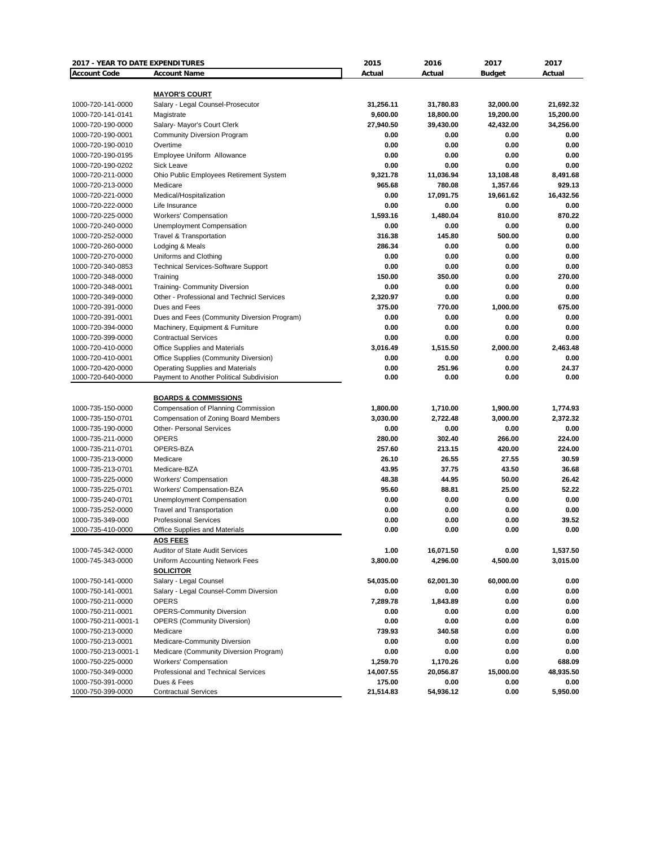| 2017 - YEAR TO DATE EXPENDITURES       |                                                    | 2015                | 2016              | 2017          | 2017             |
|----------------------------------------|----------------------------------------------------|---------------------|-------------------|---------------|------------------|
| <b>Account Code</b>                    | <b>Account Name</b>                                | Actual              | Actual            | <b>Budget</b> | Actual           |
|                                        |                                                    |                     |                   |               |                  |
|                                        | <b>MAYOR'S COURT</b>                               |                     |                   |               |                  |
| 1000-720-141-0000                      | Salary - Legal Counsel-Prosecutor                  | 31,256.11           | 31,780.83         | 32,000.00     | 21,692.32        |
| 1000-720-141-0141                      | Magistrate                                         | 9,600.00            | 18,800.00         | 19,200.00     | 15,200.00        |
| 1000-720-190-0000                      | Salary- Mayor's Court Clerk                        | 27,940.50           | 39,430.00         | 42,432.00     | 34,256.00        |
| 1000-720-190-0001                      | <b>Community Diversion Program</b>                 | 0.00                | 0.00              | 0.00          | 0.00             |
| 1000-720-190-0010                      | Overtime                                           | 0.00<br>0.00        | 0.00              | 0.00          | 0.00<br>0.00     |
| 1000-720-190-0195<br>1000-720-190-0202 | Employee Uniform Allowance<br>Sick Leave           | 0.00                | 0.00<br>0.00      | 0.00<br>0.00  | 0.00             |
| 1000-720-211-0000                      | Ohio Public Employees Retirement System            | 9,321.78            | 11,036.94         | 13,108.48     | 8.491.68         |
| 1000-720-213-0000                      | Medicare                                           | 965.68              | 780.08            | 1,357.66      | 929.13           |
| 1000-720-221-0000                      | Medical/Hospitalization                            | 0.00                | 17,091.75         | 19,661.62     | 16,432.56        |
| 1000-720-222-0000                      | Life Insurance                                     | 0.00                | 0.00              | 0.00          | 0.00             |
| 1000-720-225-0000                      | <b>Workers' Compensation</b>                       | 1,593.16            | 1,480.04          | 810.00        | 870.22           |
| 1000-720-240-0000                      | Unemployment Compensation                          | 0.00                | 0.00              | 0.00          | 0.00             |
| 1000-720-252-0000                      | <b>Travel &amp; Transportation</b>                 | 316.38              | 145.80            | 500.00        | 0.00             |
| 1000-720-260-0000                      | Lodging & Meals                                    | 286.34              | 0.00              | 0.00          | 0.00             |
| 1000-720-270-0000                      | Uniforms and Clothing                              | 0.00                | 0.00              | 0.00          | 0.00             |
| 1000-720-340-0853                      | <b>Technical Services-Software Support</b>         | 0.00                | 0.00              | 0.00          | 0.00             |
| 1000-720-348-0000                      | Training                                           | 150.00              | 350.00            | 0.00          | 270.00           |
| 1000-720-348-0001                      | <b>Training- Community Diversion</b>               | 0.00                | 0.00              | 0.00          | 0.00             |
| 1000-720-349-0000                      | Other - Professional and Technicl Services         | 2,320.97            | 0.00              | 0.00          | 0.00             |
| 1000-720-391-0000                      | Dues and Fees                                      | 375.00              | 770.00            | 1,000.00      | 675.00           |
| 1000-720-391-0001                      | Dues and Fees (Community Diversion Program)        | 0.00                | 0.00              | 0.00          | 0.00             |
| 1000-720-394-0000                      | Machinery, Equipment & Furniture                   | 0.00                | 0.00              | 0.00          | 0.00             |
| 1000-720-399-0000                      | <b>Contractual Services</b>                        | 0.00                | 0.00              | 0.00          | 0.00             |
| 1000-720-410-0000                      | Office Supplies and Materials                      | 3,016.49            | 1,515.50          | 2,000.00      | 2,463.48         |
| 1000-720-410-0001                      | Office Supplies (Community Diversion)              | 0.00                | 0.00              | 0.00          | 0.00             |
| 1000-720-420-0000                      | <b>Operating Supplies and Materials</b>            | 0.00                | 251.96            | 0.00          | 24.37            |
| 1000-720-640-0000                      | Payment to Another Political Subdivision           | 0.00                | 0.00              | 0.00          | 0.00             |
|                                        |                                                    |                     |                   |               |                  |
|                                        | <b>BOARDS &amp; COMMISSIONS</b>                    |                     |                   |               |                  |
| 1000-735-150-0000                      | Compensation of Planning Commission                | 1,800.00            | 1,710.00          | 1,900.00      | 1,774.93         |
| 1000-735-150-0701                      | Compensation of Zoning Board Members               | 3,030.00            | 2,722.48          | 3,000.00      | 2,372.32         |
| 1000-735-190-0000                      | <b>Other- Personal Services</b>                    | 0.00                | 0.00              | 0.00          | 0.00             |
| 1000-735-211-0000                      | <b>OPERS</b>                                       | 280.00              | 302.40            | 266.00        | 224.00           |
| 1000-735-211-0701                      | OPERS-BZA                                          | 257.60              | 213.15            | 420.00        | 224.00           |
| 1000-735-213-0000                      | Medicare                                           | 26.10               | 26.55             | 27.55         | 30.59            |
| 1000-735-213-0701                      | Medicare-BZA                                       | 43.95               | 37.75             | 43.50         | 36.68            |
| 1000-735-225-0000                      | <b>Workers' Compensation</b>                       | 48.38               | 44.95             | 50.00         | 26.42            |
| 1000-735-225-0701                      | Workers' Compensation-BZA                          | 95.60               | 88.81             | 25.00         | 52.22            |
| 1000-735-240-0701                      | <b>Unemployment Compensation</b>                   | 0.00                | 0.00              | 0.00          | 0.00             |
| 1000-735-252-0000                      | <b>Travel and Transportation</b>                   | 0.00                | 0.00              | 0.00          | 0.00             |
| 1000-735-349-000                       | <b>Professional Services</b>                       | 0.00                | 0.00              | 0.00          | 39.52            |
| 1000-735-410-0000                      | <b>Office Supplies and Materials</b>               | 0.00                | 0.00              | 0.00          | 0.00             |
|                                        | <b>AOS FEES</b>                                    |                     |                   |               |                  |
| 1000-745-342-0000                      | <b>Auditor of State Audit Services</b>             | 1.00                | 16,071.50         | 0.00          | 1,537.50         |
| 1000-745-343-0000                      | Uniform Accounting Network Fees                    | 3,800.00            | 4,296.00          | 4,500.00      | 3,015.00         |
|                                        | <b>SOLICITOR</b>                                   |                     |                   |               |                  |
| 1000-750-141-0000                      | Salary - Legal Counsel                             | 54,035.00           | 62,001.30         | 60,000.00     | 0.00             |
| 1000-750-141-0001                      | Salary - Legal Counsel-Comm Diversion              | 0.00                | 0.00              | 0.00          | 0.00             |
| 1000-750-211-0000                      | <b>OPERS</b>                                       | 7,289.78            | 1,843.89          | 0.00          | 0.00             |
| 1000-750-211-0001                      | <b>OPERS-Community Diversion</b>                   | 0.00                | 0.00              | 0.00          | 0.00             |
| 1000-750-211-0001-1                    | <b>OPERS (Community Diversion)</b>                 | 0.00                | 0.00              | 0.00          | 0.00             |
| 1000-750-213-0000                      | Medicare                                           | 739.93              | 340.58            | 0.00          | 0.00             |
| 1000-750-213-0001                      | Medicare-Community Diversion                       | 0.00                | 0.00              | 0.00          | 0.00             |
| 1000-750-213-0001-1                    | Medicare (Community Diversion Program)             | 0.00                | 0.00              | 0.00          | 0.00             |
| 1000-750-225-0000                      | <b>Workers' Compensation</b>                       | 1,259.70            | 1,170.26          | 0.00          | 688.09           |
| 1000-750-349-0000                      | Professional and Technical Services<br>Dues & Fees | 14,007.55<br>175.00 | 20,056.87         | 15,000.00     | 48,935.50        |
| 1000-750-391-0000<br>1000-750-399-0000 | <b>Contractual Services</b>                        | 21,514.83           | 0.00<br>54,936.12 | 0.00<br>0.00  | 0.00<br>5,950.00 |
|                                        |                                                    |                     |                   |               |                  |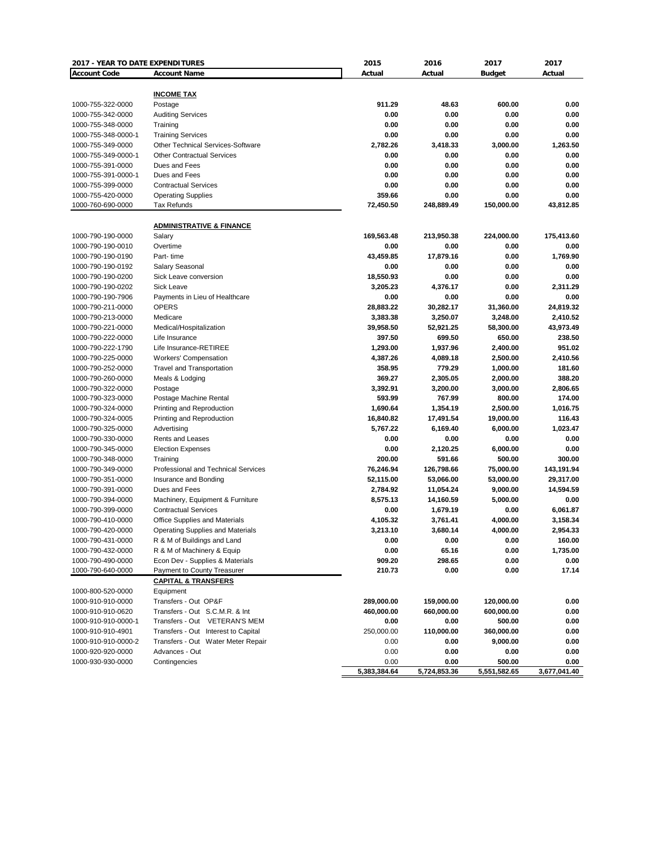| 2017 - YEAR TO DATE EXPENDITURES |                                          | 2015         | 2016         | 2017          | 2017         |
|----------------------------------|------------------------------------------|--------------|--------------|---------------|--------------|
| <b>Account Code</b>              | <b>Account Name</b>                      | Actual       | Actual       | <b>Budget</b> | Actual       |
|                                  |                                          |              |              |               |              |
|                                  | <b>INCOME TAX</b>                        |              |              |               |              |
| 1000-755-322-0000                | Postage                                  | 911.29       | 48.63        | 600.00        | 0.00         |
| 1000-755-342-0000                | <b>Auditing Services</b>                 | 0.00         | 0.00         | 0.00          | 0.00         |
| 1000-755-348-0000                | Training                                 | 0.00         | 0.00         | 0.00          | 0.00         |
| 1000-755-348-0000-1              | <b>Training Services</b>                 | 0.00         | 0.00         | 0.00          | 0.00         |
| 1000-755-349-0000                | <b>Other Technical Services-Software</b> | 2,782.26     | 3,418.33     | 3,000.00      | 1,263.50     |
| 1000-755-349-0000-1              | <b>Other Contractual Services</b>        | 0.00         | 0.00         | 0.00          | 0.00         |
| 1000-755-391-0000                | Dues and Fees                            | 0.00         | 0.00         | 0.00          | 0.00         |
| 1000-755-391-0000-1              | Dues and Fees                            | 0.00         | 0.00         | 0.00          | 0.00         |
| 1000-755-399-0000                | <b>Contractual Services</b>              | 0.00         | 0.00         | 0.00          | 0.00         |
| 1000-755-420-0000                | <b>Operating Supplies</b>                | 359.66       | 0.00         | 0.00          | 0.00         |
| 1000-760-690-0000                | <b>Tax Refunds</b>                       | 72,450.50    | 248,889.49   | 150,000.00    | 43,812.85    |
|                                  | <b>ADMINISTRATIVE &amp; FINANCE</b>      |              |              |               |              |
| 1000-790-190-0000                | Salary                                   | 169,563.48   | 213,950.38   | 224,000.00    | 175,413.60   |
| 1000-790-190-0010                | Overtime                                 | 0.00         | 0.00         | 0.00          | 0.00         |
| 1000-790-190-0190                | Part-time                                | 43,459.85    | 17,879.16    | 0.00          | 1,769.90     |
| 1000-790-190-0192                |                                          | 0.00         | 0.00         | 0.00          | 0.00         |
|                                  | Salary Seasonal                          |              |              |               |              |
| 1000-790-190-0200                | Sick Leave conversion                    | 18,550.93    | 0.00         | 0.00          | 0.00         |
| 1000-790-190-0202                | Sick Leave                               | 3,205.23     | 4,376.17     | 0.00          | 2,311.29     |
| 1000-790-190-7906                | Payments in Lieu of Healthcare           | 0.00         | 0.00         | 0.00          | 0.00         |
| 1000-790-211-0000                | OPERS                                    | 28,883.22    | 30,282.17    | 31,360.00     | 24,819.32    |
| 1000-790-213-0000                | Medicare                                 | 3,383.38     | 3,250.07     | 3,248.00      | 2,410.52     |
| 1000-790-221-0000                | Medical/Hospitalization                  | 39,958.50    | 52,921.25    | 58,300.00     | 43,973.49    |
| 1000-790-222-0000                | Life Insurance                           | 397.50       | 699.50       | 650.00        | 238.50       |
| 1000-790-222-1790                | Life Insurance-RETIREE                   | 1,293.00     | 1,937.96     | 2,400.00      | 951.02       |
| 1000-790-225-0000                | <b>Workers' Compensation</b>             | 4,387.26     | 4,089.18     | 2,500.00      | 2,410.56     |
| 1000-790-252-0000                | <b>Travel and Transportation</b>         | 358.95       | 779.29       | 1,000.00      | 181.60       |
| 1000-790-260-0000                | Meals & Lodging                          | 369.27       | 2,305.05     | 2,000.00      | 388.20       |
| 1000-790-322-0000                | Postage                                  | 3,392.91     | 3,200.00     | 3,000.00      | 2,806.65     |
| 1000-790-323-0000                | Postage Machine Rental                   | 593.99       | 767.99       | 800.00        | 174.00       |
| 1000-790-324-0000                | Printing and Reproduction                | 1,690.64     | 1,354.19     | 2,500.00      | 1,016.75     |
| 1000-790-324-0005                | Printing and Reproduction                | 16,840.82    | 17,491.54    | 19,000.00     | 116.43       |
| 1000-790-325-0000                | Advertising                              | 5,767.22     | 6,169.40     | 6,000.00      | 1,023.47     |
| 1000-790-330-0000                | Rents and Leases                         | 0.00         | 0.00         | 0.00          | 0.00         |
| 1000-790-345-0000                | <b>Election Expenses</b>                 | 0.00         | 2,120.25     | 6,000.00      | 0.00         |
| 1000-790-348-0000                | Training                                 | 200.00       | 591.66       | 500.00        | 300.00       |
| 1000-790-349-0000                | Professional and Technical Services      | 76,246.94    | 126,798.66   | 75,000.00     | 143,191.94   |
| 1000-790-351-0000                | Insurance and Bonding                    | 52,115.00    | 53,066.00    | 53,000.00     | 29,317.00    |
| 1000-790-391-0000                |                                          |              | 11,054.24    |               |              |
|                                  | Dues and Fees                            | 2,784.92     |              | 9,000.00      | 14,594.59    |
| 1000-790-394-0000                | Machinery, Equipment & Furniture         | 8,575.13     | 14,160.59    | 5,000.00      | 0.00         |
| 1000-790-399-0000                | <b>Contractual Services</b>              | 0.00         | 1,679.19     | 0.00          | 6,061.87     |
| 1000-790-410-0000                | Office Supplies and Materials            | 4,105.32     | 3,761.41     | 4,000.00      | 3,158.34     |
| 1000-790-420-0000                | Operating Supplies and Materials         | 3,213.10     | 3,680.14     | 4,000.00      | 2,954.33     |
| 1000-790-431-0000                | R & M of Buildings and Land              | 0.00         | 0.00         | 0.00          | 160.00       |
| 1000-790-432-0000                | R & M of Machinery & Equip               | 0.00         | 65.16        | 0.00          | 1,735.00     |
| 1000-790-490-0000                | Econ Dev - Supplies & Materials          | 909.20       | 298.65       | 0.00          | 0.00         |
| 1000-790-640-0000                | Payment to County Treasurer              | 210.73       | 0.00         | 0.00          | 17.14        |
|                                  | <b>CAPITAL &amp; TRANSFERS</b>           |              |              |               |              |
| 1000-800-520-0000                | Equipment                                |              |              |               |              |
| 1000-910-910-0000                | Transfers - Out OP&F                     | 289,000.00   | 159,000.00   | 120,000.00    | 0.00         |
| 1000-910-910-0620                | Transfers - Out S.C.M.R. & Int           | 460,000.00   | 660,000.00   | 600,000.00    | 0.00         |
| 1000-910-910-0000-1              | Transfers - Out VETERAN'S MEM            | 0.00         | 0.00         | 500.00        | 0.00         |
| 1000-910-910-4901                | Transfers - Out Interest to Capital      | 250,000.00   | 110,000.00   | 360,000.00    | 0.00         |
| 1000-910-910-0000-2              | Transfers - Out Water Meter Repair       | 0.00         | 0.00         | 9,000.00      | 0.00         |
| 1000-920-920-0000                | Advances - Out                           | 0.00         | 0.00         | 0.00          | 0.00         |
| 1000-930-930-0000                | Contingencies                            | 0.00         | 0.00         | 500.00        | 0.00         |
|                                  |                                          | 5,383,384.64 | 5,724,853.36 | 5,551,582.65  | 3,677,041.40 |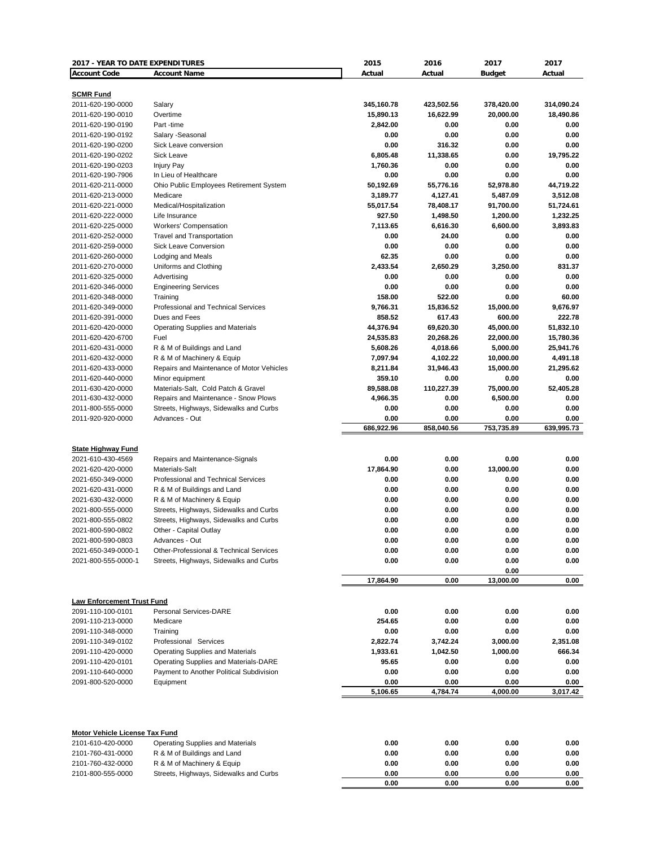| 2017 - YEAR TO DATE EXPENDITURES                    |                                                                  | 2015               | 2016                | 2017                 | 2017               |
|-----------------------------------------------------|------------------------------------------------------------------|--------------------|---------------------|----------------------|--------------------|
| <b>Account Code</b>                                 | <b>Account Name</b>                                              | Actual             | Actual              | <b>Budget</b>        | Actual             |
|                                                     |                                                                  |                    |                     |                      |                    |
| <b>SCMR Fund</b><br>2011-620-190-0000               | Salary                                                           | 345,160.78         | 423,502.56          | 378,420.00           | 314,090.24         |
| 2011-620-190-0010                                   | Overtime                                                         | 15,890.13          | 16,622.99           | 20,000.00            | 18,490.86          |
| 2011-620-190-0190                                   | Part-time                                                        | 2,842.00           | 0.00                | 0.00                 | 0.00               |
| 2011-620-190-0192                                   | Salary -Seasonal                                                 | 0.00               | 0.00                | 0.00                 | 0.00               |
| 2011-620-190-0200                                   | Sick Leave conversion                                            | 0.00               | 316.32              | 0.00                 | 0.00               |
| 2011-620-190-0202                                   | Sick Leave                                                       | 6,805.48           | 11,338.65           | 0.00                 | 19,795.22          |
| 2011-620-190-0203                                   | <b>Injury Pay</b>                                                | 1,760.36           | 0.00                | 0.00                 | 0.00               |
| 2011-620-190-7906                                   | In Lieu of Healthcare                                            | 0.00               | 0.00                | 0.00                 | 0.00               |
| 2011-620-211-0000                                   | Ohio Public Employees Retirement System                          | 50,192.69          | 55,776.16           | 52,978.80            | 44,719.22          |
| 2011-620-213-0000                                   | Medicare                                                         | 3,189.77           | 4,127.41            | 5,487.09             | 3,512.08           |
| 2011-620-221-0000                                   | Medical/Hospitalization                                          | 55,017.54          | 78,408.17           | 91,700.00            | 51,724.61          |
| 2011-620-222-0000                                   | Life Insurance                                                   | 927.50             | 1,498.50            | 1,200.00             | 1,232.25           |
| 2011-620-225-0000                                   | Workers' Compensation                                            | 7,113.65           | 6,616.30            | 6,600.00             | 3,893.83           |
| 2011-620-252-0000                                   | <b>Travel and Transportation</b>                                 | 0.00               | 24.00               | 0.00                 | 0.00               |
| 2011-620-259-0000                                   | <b>Sick Leave Conversion</b>                                     | 0.00               | 0.00                | 0.00                 | 0.00               |
| 2011-620-260-0000                                   | Lodging and Meals                                                | 62.35              | 0.00                | 0.00                 | 0.00               |
| 2011-620-270-0000                                   | Uniforms and Clothing                                            | 2,433.54           | 2,650.29            | 3,250.00             | 831.37             |
| 2011-620-325-0000                                   | Advertising                                                      | 0.00               | 0.00                | 0.00                 | 0.00               |
| 2011-620-346-0000                                   | <b>Engineering Services</b>                                      | 0.00               | 0.00                | 0.00                 | 0.00               |
| 2011-620-348-0000                                   | Training<br>Professional and Technical Services                  | 158.00             | 522.00              | 0.00                 | 60.00              |
| 2011-620-349-0000<br>2011-620-391-0000              | Dues and Fees                                                    | 9,766.31<br>858.52 | 15,836.52<br>617.43 | 15,000.00            | 9,676.97<br>222.78 |
| 2011-620-420-0000                                   | <b>Operating Supplies and Materials</b>                          | 44,376.94          | 69,620.30           | 600.00<br>45,000.00  | 51,832.10          |
| 2011-620-420-6700                                   | Fuel                                                             | 24,535.83          | 20,268.26           | 22,000.00            | 15,780.36          |
| 2011-620-431-0000                                   | R & M of Buildings and Land                                      | 5,608.26           | 4,018.66            | 5,000.00             | 25,941.76          |
| 2011-620-432-0000                                   | R & M of Machinery & Equip                                       | 7,097.94           | 4,102.22            | 10,000.00            | 4,491.18           |
| 2011-620-433-0000                                   | Repairs and Maintenance of Motor Vehicles                        | 8,211.84           | 31,946.43           | 15,000.00            | 21,295.62          |
| 2011-620-440-0000                                   | Minor equipment                                                  | 359.10             | 0.00                | 0.00                 | 0.00               |
| 2011-630-420-0000                                   | Materials-Salt, Cold Patch & Gravel                              | 89,588.08          | 110,227.39          | 75,000.00            | 52,405.28          |
| 2011-630-432-0000                                   | Repairs and Maintenance - Snow Plows                             | 4,966.35           | 0.00                | 6,500.00             | 0.00               |
| 2011-800-555-0000                                   | Streets, Highways, Sidewalks and Curbs                           | 0.00               | 0.00                | 0.00                 | 0.00               |
| 2011-920-920-0000                                   | Advances - Out                                                   | 0.00               | 0.00                | 0.00                 | 0.00               |
|                                                     |                                                                  | 686,922.96         | 858,040.56          | 753,735.89           | 639,995.73         |
|                                                     |                                                                  |                    |                     |                      |                    |
| <b>State Highway Fund</b>                           |                                                                  |                    |                     |                      |                    |
| 2021-610-430-4569                                   | Repairs and Maintenance-Signals                                  | 0.00               | 0.00                | 0.00                 | 0.00               |
| 2021-620-420-0000                                   | Materials-Salt                                                   | 17,864.90          | 0.00                | 13,000.00            | 0.00               |
| 2021-650-349-0000                                   | Professional and Technical Services                              | 0.00               | 0.00                | 0.00                 | 0.00               |
| 2021-620-431-0000                                   | R & M of Buildings and Land                                      | 0.00               | 0.00                | 0.00                 | 0.00               |
| 2021-630-432-0000<br>2021-800-555-0000              | R & M of Machinery & Equip                                       | 0.00<br>0.00       | 0.00<br>0.00        | 0.00<br>0.00         | 0.00<br>0.00       |
| 2021-800-555-0802                                   | Streets, Highways, Sidewalks and Curbs                           | 0.00               | 0.00                | 0.00                 | 0.00               |
| 2021-800-590-0802                                   | Streets, Highways, Sidewalks and Curbs<br>Other - Capital Outlay | 0.00               | 0.00                | 0.00                 | 0.00               |
| 2021-800-590-0803                                   | Advances - Out                                                   | 0.00               | 0.00                | 0.00                 | 0.00               |
| 2021-650-349-0000-1                                 | Other-Professional & Technical Services                          | 0.00               | 0.00                | 0.00                 | 0.00               |
| 2021-800-555-0000-1                                 | Streets, Highways, Sidewalks and Curbs                           | 0.00               | 0.00                | 0.00                 | 0.00               |
|                                                     |                                                                  |                    |                     | 0.00                 |                    |
|                                                     |                                                                  | 17,864.90          | 0.00                | 13,000.00            | 0.00               |
|                                                     |                                                                  |                    |                     |                      |                    |
| <b>Law Enforcement Trust Fund</b>                   |                                                                  |                    |                     |                      |                    |
| 2091-110-100-0101                                   | <b>Personal Services-DARE</b>                                    | 0.00               | 0.00                | 0.00                 | 0.00               |
| 2091-110-213-0000                                   | Medicare                                                         | 254.65             | 0.00                | 0.00                 | 0.00               |
| 2091-110-348-0000                                   | Training                                                         | 0.00               | 0.00                | 0.00                 | 0.00               |
| 2091-110-349-0102                                   | Professional Services                                            | 2,822.74           | 3,742.24            | 3,000.00<br>1,000.00 | 2,351.08<br>666.34 |
| 2091-110-420-0000                                   | <b>Operating Supplies and Materials</b>                          | 1,933.61           | 1,042.50            |                      |                    |
| 2091-110-420-0101<br>2091-110-640-0000              | Operating Supplies and Materials-DARE                            | 95.65<br>0.00      | 0.00                | 0.00                 | 0.00<br>0.00       |
| 2091-800-520-0000                                   | Payment to Another Political Subdivision<br>Equipment            | 0.00               | 0.00<br>0.00        | 0.00<br>0.00         | 0.00               |
|                                                     |                                                                  | 5,106.65           | 4,784.74            | 4,000.00             | 3,017.42           |
|                                                     |                                                                  |                    |                     |                      |                    |
| Motor Vehicle License Tax Fund<br>2101-610-420-0000 | <b>Operating Supplies and Materials</b>                          | 0.00               | 0.00                | 0.00                 | 0.00               |
| 2101-760-431-0000                                   | R & M of Buildings and Land                                      | 0.00               | 0.00                | 0.00                 | 0.00               |
| 2101-760-432-0000                                   | R & M of Machinery & Equip                                       | 0.00               | 0.00                | 0.00                 | 0.00               |
| 2101-800-555-0000                                   | Streets, Highways, Sidewalks and Curbs                           | 0.00               | 0.00                | 0.00                 | 0.00               |
|                                                     |                                                                  | 0.00               | 0.00                | 0.00                 | 0.00               |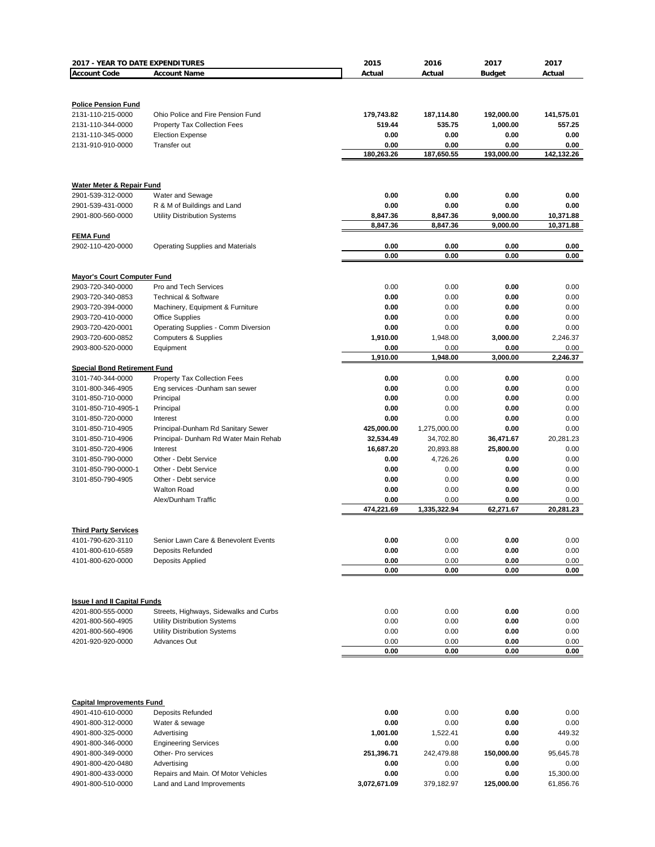| 2017 - YEAR TO DATE EXPENDITURES    |                                         | 2015                 | 2016         | 2017                 | 2017                   |
|-------------------------------------|-----------------------------------------|----------------------|--------------|----------------------|------------------------|
| <b>Account Code</b>                 | <b>Account Name</b>                     | Actual               | Actual       | <b>Budget</b>        | Actual                 |
|                                     |                                         |                      |              |                      |                        |
|                                     |                                         |                      |              |                      |                        |
| <b>Police Pension Fund</b>          |                                         |                      |              |                      |                        |
| 2131-110-215-0000                   | Ohio Police and Fire Pension Fund       | 179,743.82           | 187,114.80   | 192,000.00           | 141,575.01             |
| 2131-110-344-0000                   | <b>Property Tax Collection Fees</b>     | 519.44               | 535.75       | 1,000.00             | 557.25                 |
| 2131-110-345-0000                   | <b>Election Expense</b>                 | 0.00                 | 0.00         | 0.00                 | 0.00                   |
| 2131-910-910-0000                   | Transfer out                            | 0.00                 | 0.00         | 0.00                 | 0.00                   |
|                                     |                                         | 180,263.26           | 187,650.55   | 193,000.00           | 142,132.26             |
|                                     |                                         |                      |              |                      |                        |
|                                     |                                         |                      |              |                      |                        |
| Water Meter & Repair Fund           |                                         |                      |              |                      |                        |
| 2901-539-312-0000                   | Water and Sewage                        | 0.00                 | 0.00         | 0.00                 | 0.00                   |
| 2901-539-431-0000                   | R & M of Buildings and Land             | 0.00                 | 0.00         | 0.00                 | 0.00                   |
| 2901-800-560-0000                   | Utility Distribution Systems            | 8,847.36<br>8,847.36 | 8,847.36     | 9,000.00<br>9,000.00 | 10,371.88<br>10,371.88 |
|                                     |                                         |                      | 8,847.36     |                      |                        |
| <b>FEMA Fund</b>                    |                                         |                      |              |                      |                        |
| 2902-110-420-0000                   | <b>Operating Supplies and Materials</b> | 0.00<br>0.00         | 0.00<br>0.00 | 0.00<br>0.00         | 0.00<br>0.00           |
|                                     |                                         |                      |              |                      |                        |
| <b>Mayor's Court Computer Fund</b>  |                                         |                      |              |                      |                        |
| 2903-720-340-0000                   | Pro and Tech Services                   | 0.00                 | 0.00         | 0.00                 | 0.00                   |
| 2903-720-340-0853                   | <b>Technical &amp; Software</b>         | 0.00                 | 0.00         | 0.00                 | 0.00                   |
| 2903-720-394-0000                   | Machinery, Equipment & Furniture        | 0.00                 | 0.00         | 0.00                 | 0.00                   |
| 2903-720-410-0000                   | <b>Office Supplies</b>                  | 0.00                 | 0.00         | 0.00                 | 0.00                   |
| 2903-720-420-0001                   | Operating Supplies - Comm Diversion     | 0.00                 | 0.00         | 0.00                 | 0.00                   |
| 2903-720-600-0852                   | <b>Computers &amp; Supplies</b>         | 1,910.00             | 1,948.00     | 3,000.00             | 2,246.37               |
| 2903-800-520-0000                   | Equipment                               | 0.00                 | 0.00         | 0.00                 | 0.00                   |
|                                     |                                         | 1,910.00             | 1,948.00     | 3,000.00             | 2,246.37               |
| <b>Special Bond Retirement Fund</b> |                                         |                      |              |                      |                        |
| 3101-740-344-0000                   | <b>Property Tax Collection Fees</b>     | 0.00                 | 0.00         | 0.00                 | 0.00                   |
| 3101-800-346-4905                   | Eng services - Dunham san sewer         | 0.00                 | 0.00         | 0.00                 | 0.00                   |
| 3101-850-710-0000                   | Principal                               | 0.00                 | 0.00         | 0.00                 | 0.00                   |
| 3101-850-710-4905-1                 | Principal                               | 0.00                 | 0.00         | 0.00                 | 0.00                   |
| 3101-850-720-0000                   | Interest                                | 0.00                 | 0.00         | 0.00                 | 0.00                   |
| 3101-850-710-4905                   | Principal-Dunham Rd Sanitary Sewer      | 425,000.00           | 1,275,000.00 | 0.00                 | 0.00                   |
| 3101-850-710-4906                   | Principal- Dunham Rd Water Main Rehab   | 32,534.49            | 34,702.80    | 36,471.67            | 20,281.23              |
| 3101-850-720-4906                   | Interest                                | 16,687.20            | 20,893.88    | 25,800.00            | 0.00                   |
| 3101-850-790-0000                   | Other - Debt Service                    | 0.00                 | 4,726.26     | 0.00                 | 0.00                   |
| 3101-850-790-0000-1                 | Other - Debt Service                    | 0.00                 | 0.00         | 0.00                 | 0.00                   |
| 3101-850-790-4905                   | Other - Debt service                    | 0.00                 | 0.00         | 0.00                 | 0.00                   |
|                                     | <b>Walton Road</b>                      | 0.00                 | 0.00         | 0.00                 | 0.00                   |
|                                     | Alex/Dunham Traffic                     | 0.00                 | 0.00         | 0.00                 | 0.00                   |
|                                     |                                         | 474,221.69           | 1,335,322.94 | 62,271.67            | 20,281.23              |
|                                     |                                         |                      |              |                      |                        |
| <b>Third Party Services</b>         |                                         |                      |              |                      |                        |
| 4101-790-620-3110                   | Senior Lawn Care & Benevolent Events    | 0.00                 | 0.00         | 0.00                 | 0.00                   |
| 4101-800-610-6589                   | Deposits Refunded                       | 0.00                 | 0.00         | 0.00                 | 0.00                   |
| 4101-800-620-0000                   | Deposits Applied                        | 0.00                 | 0.00         | 0.00                 | 0.00                   |
|                                     |                                         | 0.00                 | 0.00         | 0.00                 | 0.00                   |
|                                     |                                         |                      |              |                      |                        |
|                                     |                                         |                      |              |                      |                        |
| <b>Issue I and II Capital Funds</b> |                                         |                      |              |                      |                        |
| 4201-800-555-0000                   | Streets, Highways, Sidewalks and Curbs  | 0.00                 | 0.00         | 0.00                 | 0.00                   |
| 4201-800-560-4905                   | <b>Utility Distribution Systems</b>     | 0.00                 | 0.00         | 0.00                 | 0.00                   |
| 4201-800-560-4906                   | Utility Distribution Systems            | 0.00                 | 0.00         | 0.00                 | 0.00                   |
| 4201-920-920-0000                   | Advances Out                            | 0.00                 | 0.00         | 0.00                 | 0.00                   |
|                                     |                                         | 0.00                 | 0.00         | 0.00                 | 0.00                   |
|                                     |                                         |                      |              |                      |                        |
|                                     |                                         |                      |              |                      |                        |
|                                     |                                         |                      |              |                      |                        |
|                                     |                                         |                      |              |                      |                        |
| <b>Capital Improvements Fund</b>    |                                         |                      |              |                      |                        |
| 4901-410-610-0000                   | Deposits Refunded                       | 0.00                 | 0.00         | 0.00                 | 0.00                   |
| 4901-800-312-0000                   | Water & sewage                          | 0.00                 | 0.00         | 0.00                 | 0.00                   |
| 4901-800-325-0000                   | Advertising                             | 1,001.00             | 1,522.41     | 0.00                 | 449.32                 |
| 4901-800-346-0000                   | <b>Engineering Services</b>             | 0.00                 | 0.00         | 0.00                 | 0.00                   |
| 4901-800-349-0000                   | Other- Pro services                     | 251,396.71           | 242,479.88   | 150,000.00           | 95,645.78              |
| 4901-800-420-0480                   | Advertising                             | 0.00                 | 0.00         | 0.00                 | 0.00                   |
| 4901-800-433-0000                   | Repairs and Main. Of Motor Vehicles     | 0.00                 | 0.00         | 0.00                 | 15,300.00              |
| 4901-800-510-0000                   | Land and Land Improvements              | 3,072,671.09         | 379,182.97   | 125,000.00           | 61,856.76              |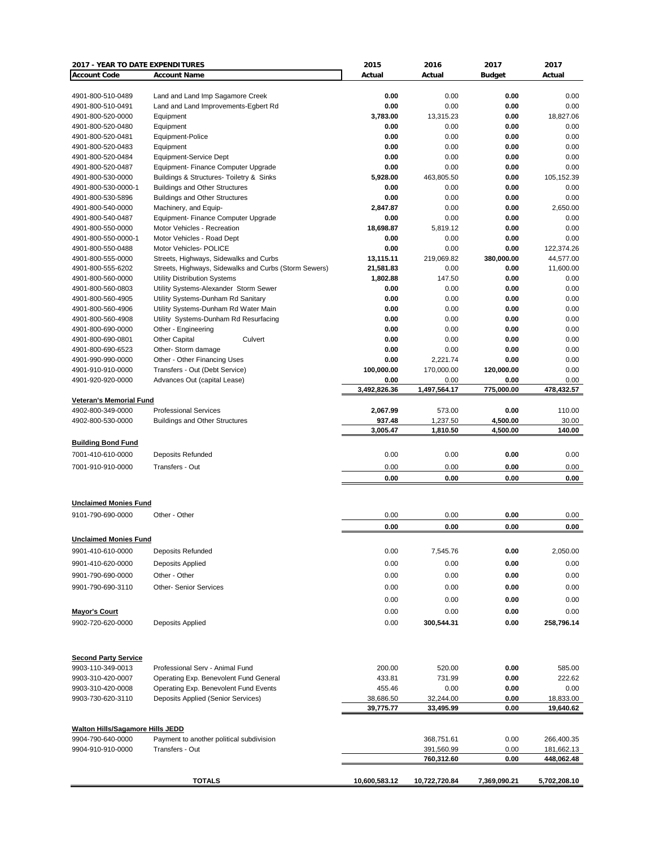| 2017 - YEAR TO DATE EXPENDITURES                    |                                                                                              | 2015                  | 2016                     | 2017               | 2017                     |
|-----------------------------------------------------|----------------------------------------------------------------------------------------------|-----------------------|--------------------------|--------------------|--------------------------|
| <b>Account Code</b>                                 | <b>Account Name</b>                                                                          | Actual                | Actual                   | <b>Budget</b>      | Actual                   |
|                                                     |                                                                                              |                       |                          |                    |                          |
| 4901-800-510-0489                                   | Land and Land Imp Sagamore Creek                                                             | 0.00                  | 0.00                     | 0.00               | 0.00                     |
| 4901-800-510-0491                                   | Land and Land Improvements-Egbert Rd                                                         | 0.00                  | 0.00                     | 0.00               | 0.00                     |
| 4901-800-520-0000                                   | Equipment<br>Equipment                                                                       | 3,783.00<br>0.00      | 13,315.23<br>0.00        | 0.00<br>0.00       | 18,827.06<br>0.00        |
| 4901-800-520-0480<br>4901-800-520-0481              | Equipment-Police                                                                             | 0.00                  | 0.00                     | 0.00               | 0.00                     |
| 4901-800-520-0483                                   | Equipment                                                                                    | 0.00                  | 0.00                     | 0.00               | 0.00                     |
| 4901-800-520-0484                                   | Equipment-Service Dept                                                                       | 0.00                  | 0.00                     | 0.00               | 0.00                     |
| 4901-800-520-0487                                   | Equipment- Finance Computer Upgrade                                                          | 0.00                  | 0.00                     | 0.00               | 0.00                     |
| 4901-800-530-0000                                   | Buildings & Structures- Toiletry & Sinks                                                     | 5,928.00              | 463,805.50               | 0.00               | 105,152.39               |
| 4901-800-530-0000-1                                 | <b>Buildings and Other Structures</b>                                                        | 0.00                  | 0.00                     | 0.00               | 0.00                     |
| 4901-800-530-5896                                   | <b>Buildings and Other Structures</b>                                                        | 0.00                  | 0.00                     | 0.00               | 0.00                     |
| 4901-800-540-0000                                   | Machinery, and Equip-                                                                        | 2,847.87              | 0.00                     | 0.00               | 2,650.00                 |
| 4901-800-540-0487                                   | Equipment- Finance Computer Upgrade                                                          | 0.00                  | 0.00                     | 0.00               | 0.00                     |
| 4901-800-550-0000                                   | Motor Vehicles - Recreation                                                                  | 18,698.87             | 5,819.12                 | 0.00               | 0.00                     |
| 4901-800-550-0000-1                                 | Motor Vehicles - Road Dept                                                                   | 0.00                  | 0.00                     | 0.00               | 0.00                     |
| 4901-800-550-0488                                   | Motor Vehicles- POLICE                                                                       | 0.00                  | 0.00                     | 0.00               | 122,374.26               |
| 4901-800-555-0000<br>4901-800-555-6202              | Streets, Highways, Sidewalks and Curbs                                                       | 13,115.11             | 219,069.82<br>0.00       | 380,000.00<br>0.00 | 44,577.00<br>11,600.00   |
| 4901-800-560-0000                                   | Streets, Highways, Sidewalks and Curbs (Storm Sewers)<br><b>Utility Distribution Systems</b> | 21,581.83<br>1,802.88 | 147.50                   | 0.00               | 0.00                     |
| 4901-800-560-0803                                   | Utility Systems-Alexander Storm Sewer                                                        | 0.00                  | 0.00                     | 0.00               | 0.00                     |
| 4901-800-560-4905                                   | Utility Systems-Dunham Rd Sanitary                                                           | 0.00                  | 0.00                     | 0.00               | 0.00                     |
| 4901-800-560-4906                                   | Utility Systems-Dunham Rd Water Main                                                         | 0.00                  | 0.00                     | 0.00               | 0.00                     |
| 4901-800-560-4908                                   | Utility Systems-Dunham Rd Resurfacing                                                        | 0.00                  | 0.00                     | 0.00               | 0.00                     |
| 4901-800-690-0000                                   | Other - Engineering                                                                          | 0.00                  | 0.00                     | 0.00               | 0.00                     |
| 4901-800-690-0801                                   | <b>Other Capital</b><br>Culvert                                                              | 0.00                  | 0.00                     | 0.00               | 0.00                     |
| 4901-800-690-6523                                   | Other-Storm damage                                                                           | 0.00                  | 0.00                     | 0.00               | 0.00                     |
| 4901-990-990-0000                                   | Other - Other Financing Uses                                                                 | 0.00                  | 2,221.74                 | 0.00               | 0.00                     |
| 4901-910-910-0000                                   | Transfers - Out (Debt Service)                                                               | 100,000.00            | 170,000.00               | 120,000.00         | 0.00                     |
| 4901-920-920-0000                                   | Advances Out (capital Lease)                                                                 | 0.00                  | 0.00                     | 0.00               | 0.00                     |
|                                                     |                                                                                              | 3,492,826.36          | 1,497,564.17             | 775,000.00         | 478,432.57               |
| <b>Veteran's Memorial Fund</b><br>4902-800-349-0000 |                                                                                              |                       |                          |                    |                          |
| 4902-800-530-0000                                   | <b>Professional Services</b><br><b>Buildings and Other Structures</b>                        | 2,067.99<br>937.48    | 573.00<br>1,237.50       | 0.00<br>4,500.00   | 110.00<br>30.00          |
|                                                     |                                                                                              | 3,005.47              | 1,810.50                 | 4,500.00           | 140.00                   |
| <b>Building Bond Fund</b>                           |                                                                                              |                       |                          |                    |                          |
|                                                     |                                                                                              |                       |                          |                    |                          |
| 7001-410-610-0000                                   | <b>Deposits Refunded</b>                                                                     | 0.00                  | 0.00                     | 0.00               | 0.00                     |
| 7001-910-910-0000                                   | Transfers - Out                                                                              | 0.00                  | 0.00                     | 0.00               | 0.00                     |
|                                                     |                                                                                              | 0.00                  | 0.00                     | 0.00               | 0.00                     |
|                                                     |                                                                                              |                       |                          |                    |                          |
| <b>Unclaimed Monies Fund</b>                        |                                                                                              |                       |                          |                    |                          |
| 9101-790-690-0000                                   | Other - Other                                                                                | 0.00                  | 0.00                     | 0.00               | 0.00                     |
|                                                     |                                                                                              | 0.00                  | 0.00                     | 0.00               | 0.00                     |
| <b>Unclaimed Monies Fund</b>                        |                                                                                              |                       |                          |                    |                          |
| 9901-410-610-0000                                   | <b>Deposits Refunded</b>                                                                     | 0.00                  | 7,545.76                 | 0.00               | 2,050.00                 |
| 9901-410-620-0000                                   | Deposits Applied                                                                             | 0.00                  | 0.00                     | 0.00               | 0.00                     |
| 9901-790-690-0000                                   | Other - Other                                                                                | 0.00                  | 0.00                     | 0.00               | 0.00                     |
|                                                     |                                                                                              |                       |                          |                    |                          |
| 9901-790-690-3110                                   | <b>Other- Senior Services</b>                                                                | 0.00                  | 0.00                     | 0.00               | 0.00                     |
|                                                     |                                                                                              | 0.00                  | 0.00                     | 0.00               | 0.00                     |
| <b>Mayor's Court</b>                                |                                                                                              | 0.00                  | 0.00                     | 0.00               | 0.00                     |
| 9902-720-620-0000                                   | Deposits Applied                                                                             | 0.00                  | 300,544.31               | 0.00               | 258,796.14               |
|                                                     |                                                                                              |                       |                          |                    |                          |
| <b>Second Party Service</b>                         |                                                                                              |                       |                          |                    |                          |
| 9903-110-349-0013                                   | Professional Serv - Animal Fund                                                              | 200.00                | 520.00                   | 0.00               | 585.00                   |
| 9903-310-420-0007                                   | Operating Exp. Benevolent Fund General                                                       | 433.81                | 731.99                   | 0.00               | 222.62                   |
| 9903-310-420-0008                                   | Operating Exp. Benevolent Fund Events                                                        | 455.46                | 0.00                     | 0.00               | 0.00                     |
| 9903-730-620-3110                                   | Deposits Applied (Senior Services)                                                           | 38,686.50             | 32,244.00                | 0.00               | 18,833.00                |
|                                                     |                                                                                              | 39,775.77             | 33,495.99                | 0.00               | 19,640.62                |
|                                                     |                                                                                              |                       |                          |                    |                          |
| <b>Walton Hills/Sagamore Hills JEDD</b>             |                                                                                              |                       |                          |                    |                          |
| 9904-790-640-0000<br>9904-910-910-0000              | Payment to another political subdivision<br>Transfers - Out                                  |                       | 368,751.61<br>391,560.99 | 0.00<br>0.00       | 266,400.35<br>181,662.13 |
|                                                     |                                                                                              |                       | 760,312.60               | 0.00               | 448,062.48               |
|                                                     |                                                                                              |                       |                          |                    |                          |
|                                                     | <b>TOTALS</b>                                                                                | 10,600,583.12         | 10,722,720.84            | 7,369,090.21       | 5,702,208.10             |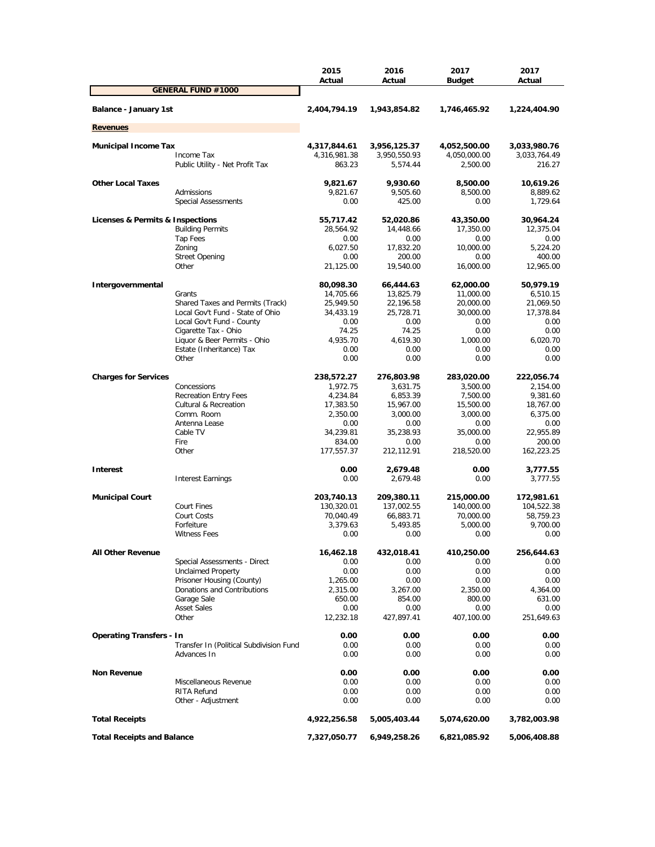|                                   |                                         | 2015<br>Actual   | 2016<br>Actual   | 2017<br><b>Budget</b> | 2017<br>Actual   |
|-----------------------------------|-----------------------------------------|------------------|------------------|-----------------------|------------------|
|                                   | <b>GENERAL FUND #1000</b>               |                  |                  |                       |                  |
| Balance - January 1st             |                                         | 2,404,794.19     | 1,943,854.82     | 1,746,465.92          | 1,224,404.90     |
| <b>Revenues</b>                   |                                         |                  |                  |                       |                  |
| <b>Municipal Income Tax</b>       |                                         | 4,317,844.61     | 3,956,125.37     | 4,052,500.00          | 3,033,980.76     |
|                                   | Income Tax                              | 4,316,981.38     | 3,950,550.93     | 4,050,000.00          | 3,033,764.49     |
|                                   | Public Utility - Net Profit Tax         | 863.23           | 5,574.44         | 2,500.00              | 216.27           |
| <b>Other Local Taxes</b>          |                                         | 9,821.67         | 9,930.60         | 8,500.00              | 10,619.26        |
|                                   | Admissions                              | 9,821.67         | 9,505.60         | 8,500.00              | 8,889.62         |
|                                   | <b>Special Assessments</b>              | 0.00             | 425.00           | 0.00                  | 1,729.64         |
| Licenses & Permits & Inspections  |                                         | 55,717.42        | 52,020.86        | 43,350.00             | 30,964.24        |
|                                   | <b>Building Permits</b>                 | 28,564.92        | 14,448.66        | 17,350.00             | 12,375.04        |
|                                   | Tap Fees                                | 0.00             | 0.00             | 0.00                  | 0.00             |
|                                   | Zoning                                  | 6,027.50         | 17,832.20        | 10,000.00             | 5,224.20         |
|                                   | <b>Street Opening</b>                   | 0.00             | 200.00           | 0.00                  | 400.00           |
|                                   | Other                                   | 21,125.00        | 19,540.00        | 16,000.00             | 12,965.00        |
| Intergovernmental                 |                                         | 80,098.30        | 66,444.63        | 62,000.00             | 50,979.19        |
|                                   | Grants                                  | 14,705.66        | 13,825.79        | 11,000.00             | 6,510.15         |
|                                   | Shared Taxes and Permits (Track)        | 25,949.50        | 22,196.58        | 20,000.00             | 21,069.50        |
|                                   | Local Gov't Fund - State of Ohio        | 34,433.19        | 25,728.71        | 30,000.00             | 17,378.84        |
|                                   | Local Gov't Fund - County               | 0.00             | 0.00             | 0.00                  | 0.00             |
|                                   | Cigarette Tax - Ohio                    | 74.25            | 74.25            | 0.00                  | 0.00             |
|                                   | Liquor & Beer Permits - Ohio            | 4,935.70         | 4,619.30         | 1.000.00              | 6,020.70         |
|                                   | Estate (Inheritance) Tax                | 0.00             | 0.00             | 0.00                  | 0.00             |
|                                   | Other                                   | 0.00             | 0.00             | 0.00                  | 0.00             |
| <b>Charges for Services</b>       |                                         | 238,572.27       | 276,803.98       | 283,020.00            | 222,056.74       |
|                                   | Concessions                             | 1,972.75         | 3,631.75         | 3,500.00              | 2,154.00         |
|                                   | <b>Recreation Entry Fees</b>            | 4,234.84         | 6,853.39         | 7,500.00              | 9,381.60         |
|                                   | <b>Cultural &amp; Recreation</b>        | 17,383.50        | 15,967.00        | 15,500.00             | 18,767.00        |
|                                   | Comm. Room                              | 2,350.00         | 3,000.00         | 3,000.00              | 6,375.00         |
|                                   | Antenna Lease                           | 0.00             | 0.00             | 0.00                  | 0.00             |
|                                   | Cable TV                                | 34,239.81        | 35,238.93        | 35,000.00             | 22,955.89        |
|                                   | Fire                                    | 834.00           | 0.00             | 0.00                  | 200.00           |
|                                   | Other                                   | 177,557.37       | 212,112.91       | 218,520.00            | 162,223.25       |
| <b>Interest</b>                   |                                         | 0.00             | 2,679.48         | 0.00                  | 3,777.55         |
|                                   | <b>Interest Earnings</b>                | 0.00             | 2,679.48         | 0.00                  | 3,777.55         |
|                                   |                                         |                  |                  |                       |                  |
| <b>Municipal Court</b>            |                                         | 203,740.13       | 209,380.11       | 215,000.00            | 172,981.61       |
|                                   | <b>Court Fines</b>                      | 130,320.01       | 137,002.55       | 140,000.00            | 104,522.38       |
|                                   | Court Costs                             | 70,040.49        | 66,883.71        | 70,000.00             | 58,759.23        |
|                                   | Forfeiture<br><b>Witness Fees</b>       | 3,379.63<br>0.00 | 5,493.85<br>0.00 | 5,000.00<br>0.00      | 9,700.00<br>0.00 |
|                                   |                                         |                  |                  |                       |                  |
| <b>All Other Revenue</b>          |                                         | 16,462.18        | 432,018.41       | 410,250.00            | 256,644.63       |
|                                   | Special Assessments - Direct            | 0.00             | 0.00             | 0.00                  | 0.00             |
|                                   | <b>Unclaimed Property</b>               | 0.00             | 0.00             | 0.00                  | 0.00             |
|                                   | Prisoner Housing (County)               | 1,265.00         | 0.00             | 0.00                  | 0.00             |
|                                   | Donations and Contributions             | 2,315.00         | 3,267.00         | 2,350.00              | 4,364.00         |
|                                   | Garage Sale                             | 650.00           | 854.00           | 800.00                | 631.00           |
|                                   | <b>Asset Sales</b>                      | 0.00             | 0.00             | 0.00                  | 0.00             |
|                                   | Other                                   | 12,232.18        | 427,897.41       | 407,100.00            | 251,649.63       |
| <b>Operating Transfers - In</b>   |                                         | 0.00             | 0.00             | 0.00                  | 0.00             |
|                                   | Transfer In (Political Subdivision Fund | 0.00             | 0.00             | 0.00                  | 0.00             |
|                                   | Advances In                             | 0.00             | 0.00             | 0.00                  | 0.00             |
| <b>Non Revenue</b>                |                                         | 0.00             | 0.00             | 0.00                  | 0.00             |
|                                   | Miscellaneous Revenue                   | 0.00             | 0.00             | 0.00                  | 0.00             |
|                                   | RITA Refund                             | 0.00             | 0.00             | 0.00                  | 0.00             |
|                                   | Other - Adjustment                      | 0.00             | 0.00             | 0.00                  | 0.00             |
| <b>Total Receipts</b>             |                                         | 4,922,256.58     | 5,005,403.44     | 5,074,620.00          | 3,782,003.98     |
| <b>Total Receipts and Balance</b> |                                         | 7,327,050.77     | 6,949,258.26     | 6,821,085.92          | 5,006,408.88     |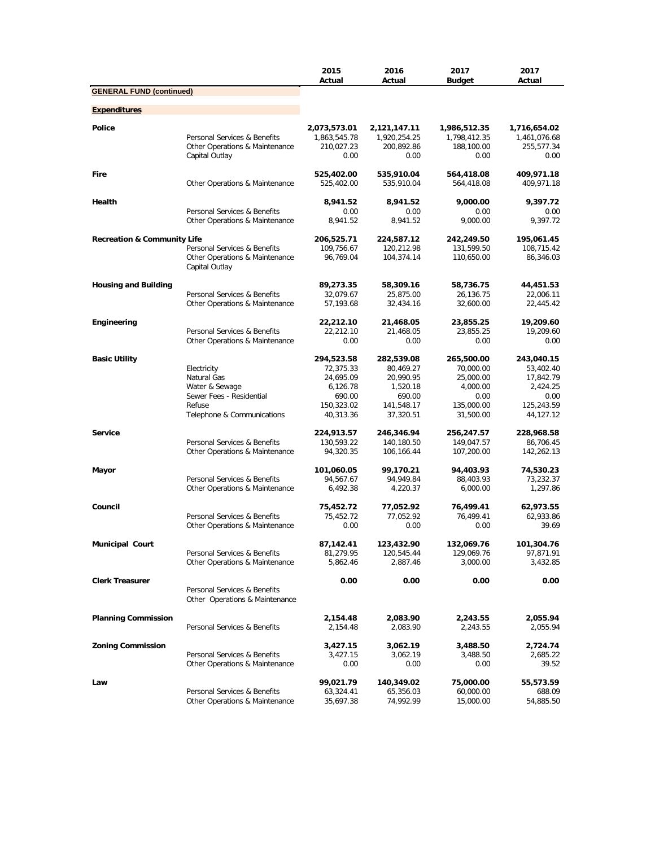|                                        |                                                                                  | 2015<br>Actual               | 2016<br>Actual               | 2017<br>Budget               | 2017<br>Actual               |
|----------------------------------------|----------------------------------------------------------------------------------|------------------------------|------------------------------|------------------------------|------------------------------|
| <b>GENERAL FUND (continued)</b>        |                                                                                  |                              |                              |                              |                              |
| <b>Expenditures</b>                    |                                                                                  |                              |                              |                              |                              |
| <b>Police</b>                          | Personal Services & Benefits                                                     | 2,073,573.01<br>1,863,545.78 | 2,121,147.11<br>1,920,254.25 | 1,986,512.35<br>1,798,412.35 | 1,716,654.02<br>1,461,076.68 |
|                                        | Other Operations & Maintenance<br>Capital Outlay                                 | 210,027.23<br>0.00           | 200,892.86<br>0.00           | 188,100.00<br>0.00           | 255,577.34<br>0.00           |
| Fire                                   | Other Operations & Maintenance                                                   | 525,402.00<br>525,402.00     | 535,910.04<br>535,910.04     | 564,418.08<br>564,418.08     | 409,971.18<br>409,971.18     |
| Health                                 | Personal Services & Benefits                                                     | 8,941.52<br>0.00             | 8,941.52<br>0.00             | 9,000.00<br>0.00             | 9,397.72<br>0.00             |
|                                        | Other Operations & Maintenance                                                   | 8,941.52                     | 8,941.52                     | 9,000.00                     | 9,397.72                     |
| <b>Recreation &amp; Community Life</b> |                                                                                  | 206,525.71                   | 224,587.12                   | 242,249.50                   | 195,061.45                   |
|                                        | Personal Services & Benefits<br>Other Operations & Maintenance<br>Capital Outlay | 109,756.67<br>96,769.04      | 120,212.98<br>104,374.14     | 131,599.50<br>110,650.00     | 108,715.42<br>86,346.03      |
| <b>Housing and Building</b>            |                                                                                  | 89,273.35                    | 58,309.16                    | 58,736.75                    | 44,451.53                    |
|                                        | Personal Services & Benefits                                                     | 32,079.67                    | 25,875.00                    | 26,136.75                    | 22,006.11                    |
|                                        | Other Operations & Maintenance                                                   | 57,193.68                    | 32,434.16                    | 32,600.00                    | 22,445.42                    |
| Engineering                            |                                                                                  | 22,212.10                    | 21,468.05                    | 23,855.25                    | 19,209.60                    |
|                                        | Personal Services & Benefits                                                     | 22,212.10                    | 21,468.05                    | 23,855.25                    | 19,209.60                    |
|                                        | Other Operations & Maintenance                                                   | 0.00                         | 0.00                         | 0.00                         | 0.00                         |
| <b>Basic Utility</b>                   |                                                                                  | 294,523.58                   | 282,539.08                   | 265,500.00                   | 243,040.15                   |
|                                        | Electricity                                                                      | 72,375.33                    | 80,469.27                    | 70,000.00                    | 53,402.40                    |
|                                        | Natural Gas                                                                      | 24,695.09                    | 20,990.95                    | 25,000.00                    | 17,842.79                    |
|                                        | Water & Sewage<br>Sewer Fees - Residential                                       | 6,126.78<br>690.00           | 1,520.18<br>690.00           | 4,000.00<br>0.00             | 2,424.25<br>0.00             |
|                                        | Refuse                                                                           | 150,323.02                   | 141,548.17                   | 135,000.00                   | 125,243.59                   |
|                                        | Telephone & Communications                                                       | 40,313.36                    | 37,320.51                    | 31,500.00                    | 44,127.12                    |
| <b>Service</b>                         |                                                                                  | 224,913.57                   | 246,346.94                   | 256,247.57                   | 228,968.58                   |
|                                        | Personal Services & Benefits                                                     | 130,593.22                   | 140,180.50                   | 149,047.57                   | 86,706.45                    |
|                                        | Other Operations & Maintenance                                                   | 94,320.35                    | 106,166.44                   | 107,200.00                   | 142,262.13                   |
| Mayor                                  |                                                                                  | 101,060.05                   | 99,170.21                    | 94,403.93                    | 74,530.23                    |
|                                        | Personal Services & Benefits                                                     | 94,567.67                    | 94,949.84                    | 88,403.93                    | 73,232.37                    |
|                                        | Other Operations & Maintenance                                                   | 6,492.38                     | 4,220.37                     | 6,000.00                     | 1,297.86                     |
| Council                                |                                                                                  | 75,452.72                    | 77,052.92                    | 76,499.41                    | 62,973.55                    |
|                                        | Personal Services & Benefits<br>Other Operations & Maintenance                   | 75,452.72<br>0.00            | 77,052.92<br>0.00            | 76,499.41<br>0.00            | 62,933.86<br>39.69           |
| <b>Municipal Court</b>                 |                                                                                  | 87,142.41                    | 123,432.90                   | 132,069.76                   | 101,304.76                   |
|                                        | Personal Services & Benefits                                                     | 81,279.95                    | 120,545.44                   | 129,069.76                   | 97,871.91                    |
|                                        | Other Operations & Maintenance                                                   | 5,862.46                     | 2,887.46                     | 3,000.00                     | 3,432.85                     |
| <b>Clerk Treasurer</b>                 | Personal Services & Benefits<br>Other Operations & Maintenance                   | 0.00                         | 0.00                         | 0.00                         | 0.00                         |
| <b>Planning Commission</b>             | Personal Services & Benefits                                                     | 2,154.48<br>2,154.48         | 2,083.90<br>2,083.90         | 2,243.55<br>2,243.55         | 2,055.94<br>2,055.94         |
| <b>Zoning Commission</b>               |                                                                                  | 3,427.15                     | 3,062.19                     | 3,488.50                     | 2,724.74                     |
|                                        | Personal Services & Benefits<br>Other Operations & Maintenance                   | 3,427.15<br>0.00             | 3,062.19                     | 3,488.50                     | 2,685.22<br>39.52            |
|                                        |                                                                                  |                              | 0.00                         | 0.00                         |                              |
| Law                                    |                                                                                  | 99,021.79                    | 140,349.02                   | 75,000.00                    | 55,573.59                    |
|                                        | Personal Services & Benefits                                                     | 63,324.41                    | 65,356.03                    | 60,000.00                    | 688.09                       |
|                                        | Other Operations & Maintenance                                                   | 35,697.38                    | 74,992.99                    | 15,000.00                    | 54,885.50                    |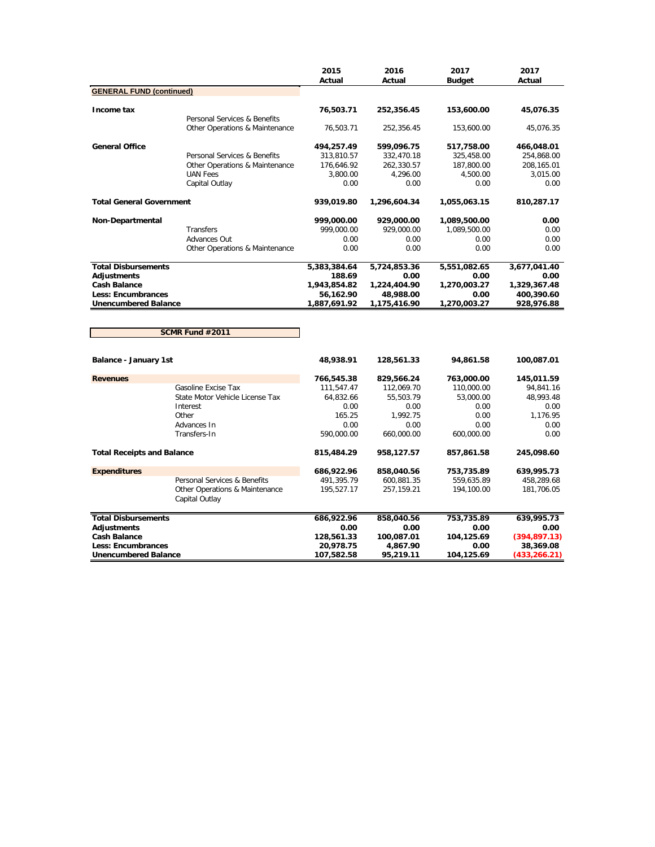|                                   |                                                  | 2015<br>Actual | 2016<br>Actual | 2017<br><b>Budget</b> | 2017<br>Actual |
|-----------------------------------|--------------------------------------------------|----------------|----------------|-----------------------|----------------|
| <b>GENERAL FUND (continued)</b>   |                                                  |                |                |                       |                |
| Income tax                        |                                                  | 76,503.71      | 252,356.45     | 153,600.00            | 45,076.35      |
|                                   | Personal Services & Benefits                     |                |                |                       |                |
|                                   | Other Operations & Maintenance                   | 76,503.71      | 252,356.45     | 153,600.00            | 45,076.35      |
| <b>General Office</b>             |                                                  | 494,257.49     | 599,096.75     | 517,758.00            | 466,048.01     |
|                                   | Personal Services & Benefits                     | 313,810.57     | 332,470.18     | 325,458.00            | 254,868.00     |
|                                   | Other Operations & Maintenance                   | 176,646.92     | 262,330.57     | 187,800.00            | 208,165.01     |
|                                   | <b>UAN Fees</b>                                  | 3,800.00       | 4,296.00       | 4,500.00              | 3,015.00       |
|                                   | Capital Outlay                                   | 0.00           | 0.00           | 0.00                  | 0.00           |
| <b>Total General Government</b>   |                                                  | 939,019.80     | 1,296,604.34   | 1,055,063.15          | 810,287.17     |
| Non-Departmental                  |                                                  | 999,000.00     | 929,000.00     | 1,089,500.00          | 0.00           |
|                                   | Transfers                                        | 999,000.00     | 929,000.00     | 1,089,500.00          | 0.00           |
|                                   | Advances Out                                     | 0.00           | 0.00           | 0.00                  | 0.00           |
|                                   | Other Operations & Maintenance                   | 0.00           | 0.00           | 0.00                  | 0.00           |
| <b>Total Disbursements</b>        |                                                  | 5,383,384.64   | 5,724,853.36   | 5,551,082.65          | 3,677,041.40   |
| <b>Adiustments</b>                |                                                  | 188.69         | 0.00           | 0.00                  | 0.00           |
| <b>Cash Balance</b>               |                                                  | 1,943,854.82   | 1,224,404.90   | 1,270,003.27          | 1,329,367.48   |
| <b>Less: Encumbrances</b>         |                                                  | 56,162.90      | 48,988.00      | 0.00                  | 400,390.60     |
| <b>Unencumbered Balance</b>       |                                                  | 1,887,691.92   | 1,175,416.90   | 1,270,003.27          | 928,976.88     |
|                                   | SCMR Fund #2011                                  |                |                |                       |                |
| Balance - January 1st             |                                                  | 48,938.91      | 128,561.33     | 94,861.58             | 100,087.01     |
| <b>Revenues</b>                   |                                                  | 766,545.38     | 829,566.24     | 763,000.00            | 145,011.59     |
|                                   | Gasoline Excise Tax                              | 111,547.47     | 112,069.70     | 110,000.00            | 94,841.16      |
|                                   | State Motor Vehicle License Tax                  | 64,832.66      | 55,503.79      | 53,000.00             | 48,993.48      |
|                                   | Interest                                         | 0.00           | 0.00           | 0.00                  | 0.00           |
|                                   | Other                                            | 165.25         | 1,992.75       | 0.00                  | 1,176.95       |
|                                   | Advances In                                      | 0.00           | 0.00           | 0.00                  | 0.00           |
|                                   | Transfers-In                                     | 590,000.00     | 660,000.00     | 600,000.00            | 0.00           |
| <b>Total Receipts and Balance</b> |                                                  | 815,484.29     | 958,127.57     | 857,861.58            | 245,098.60     |
|                                   |                                                  |                |                |                       |                |
| <b>Expenditures</b>               |                                                  | 686,922.96     | 858,040.56     | 753,735.89            | 639,995.73     |
|                                   | Personal Services & Benefits                     | 491,395.79     | 600,881.35     | 559,635.89            | 458,289.68     |
|                                   | Other Operations & Maintenance<br>Capital Outlay | 195,527.17     | 257,159.21     | 194,100.00            | 181,706.05     |

| <b>Total Disbursements</b>  | 686,922.96 | 858,040.56 | 753.735.89 | 639,995.73    |
|-----------------------------|------------|------------|------------|---------------|
| Adjustments                 | 0.00       | 0.00       | 0.00       | 0.00          |
| <b>Cash Balance</b>         | 128,561.33 | 100,087.01 | 104.125.69 | (394, 897.13) |
| Less: Encumbrances          | 20.978.75  | 4.867.90   | 0.00       | 38,369.08     |
| <b>Unencumbered Balance</b> | 107.582.58 | 95,219.11  | 104.125.69 | (433, 266.21) |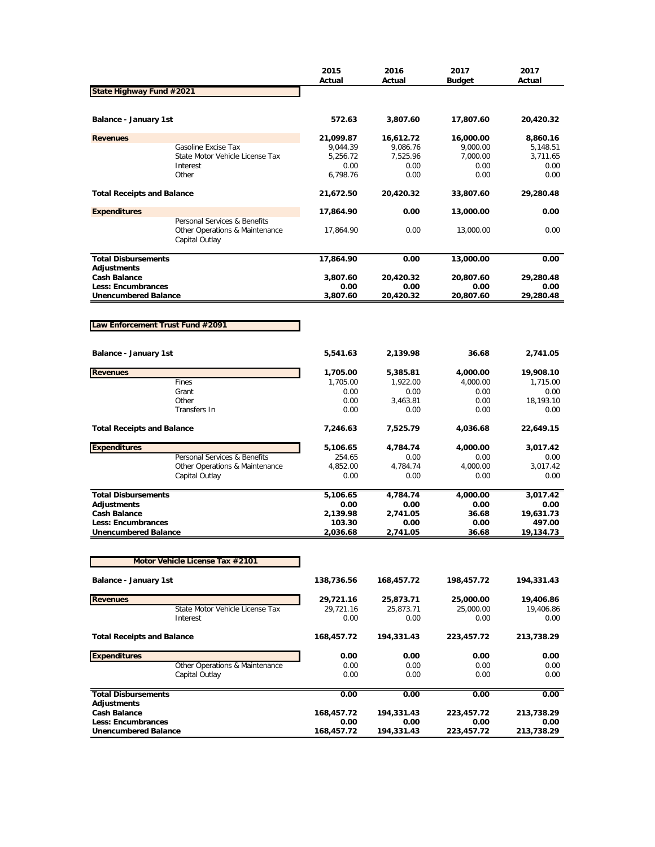|                                                  |                                                                                  | 2015<br>Actual   | 2016<br>Actual    | 2017<br><b>Budget</b> | 2017<br>Actual    |
|--------------------------------------------------|----------------------------------------------------------------------------------|------------------|-------------------|-----------------------|-------------------|
| State Highway Fund #2021                         |                                                                                  |                  |                   |                       |                   |
| <b>Balance - January 1st</b>                     |                                                                                  | 572.63           | 3,807.60          | 17,807.60             | 20,420.32         |
| <b>Revenues</b>                                  |                                                                                  | 21,099.87        | 16,612.72         | 16,000.00             | 8,860.16          |
|                                                  | Gasoline Excise Tax                                                              | 9,044.39         | 9,086.76          | 9,000.00              | 5,148.51          |
|                                                  | State Motor Vehicle License Tax                                                  | 5,256.72         | 7,525.96          | 7,000.00              | 3,711.65          |
|                                                  | Interest<br>Other                                                                | 0.00<br>6,798.76 | 0.00<br>0.00      | 0.00<br>0.00          | 0.00<br>0.00      |
| <b>Total Receipts and Balance</b>                |                                                                                  | 21,672.50        | 20,420.32         | 33,807.60             | 29,280.48         |
| <b>Expenditures</b>                              |                                                                                  | 17,864.90        | 0.00              | 13,000.00             | 0.00              |
|                                                  | Personal Services & Benefits<br>Other Operations & Maintenance<br>Capital Outlay | 17,864.90        | 0.00              | 13,000.00             | 0.00              |
| <b>Total Disbursements</b>                       |                                                                                  | 17,864.90        | 0.00              | 13,000.00             | 0.00              |
| <b>Adjustments</b>                               |                                                                                  |                  |                   |                       |                   |
| <b>Cash Balance</b><br><b>Less: Encumbrances</b> |                                                                                  | 3,807.60<br>0.00 | 20,420.32<br>0.00 | 20,807.60<br>0.00     | 29,280.48<br>0.00 |
| <b>Unencumbered Balance</b>                      |                                                                                  | 3,807.60         | 20,420.32         | 20,807.60             | 29,280.48         |
|                                                  |                                                                                  |                  |                   |                       |                   |
|                                                  |                                                                                  |                  |                   |                       |                   |
| Law Enforcement Trust Fund #2091                 |                                                                                  |                  |                   |                       |                   |
|                                                  |                                                                                  |                  |                   |                       |                   |
| Balance - January 1st                            |                                                                                  | 5,541.63         | 2,139.98          | 36.68                 | 2,741.05          |
| <b>Revenues</b>                                  |                                                                                  | 1,705.00         | 5,385.81          | 4,000.00              | 19,908.10         |
|                                                  | Fines                                                                            | 1,705.00         | 1,922.00          | 4,000.00              | 1,715.00          |
|                                                  | Grant<br>Other                                                                   | 0.00<br>0.00     | 0.00<br>3,463.81  | 0.00                  | 0.00<br>18,193.10 |
|                                                  | Transfers In                                                                     | 0.00             | 0.00              | 0.00<br>0.00          | 0.00              |
|                                                  |                                                                                  |                  |                   |                       |                   |
| <b>Total Receipts and Balance</b>                |                                                                                  | 7,246.63         | 7,525.79          | 4,036.68              | 22,649.15         |
| <b>Expenditures</b>                              |                                                                                  | 5,106.65         | 4,784.74          | 4,000.00              | 3,017.42          |
|                                                  | Personal Services & Benefits                                                     | 254.65           | 0.00              | 0.00                  | 0.00              |
|                                                  | Other Operations & Maintenance                                                   | 4,852.00         | 4,784.74<br>0.00  | 4,000.00              | 3,017.42          |
|                                                  | Capital Outlay                                                                   | 0.00             |                   | 0.00                  | 0.00              |
| <b>Total Disbursements</b>                       |                                                                                  | 5,106.65         | 4,784.74          | 4,000.00              | 3,017.42          |
| <b>Adjustments</b>                               |                                                                                  | 0.00             | 0.00              | 0.00                  | 0.00              |
| <b>Cash Balance</b>                              |                                                                                  | 2,139.98         | 2,741.05          | 36.68                 | 19,631.73         |
| <b>Less: Encumbrances</b>                        |                                                                                  | 103.30           | 0.00              | 0.00                  | 497.00            |
| <b>Unencumbered Balance</b>                      |                                                                                  | 2,036.68         | 2,741.05          | 36.68                 | 19,134.73         |
|                                                  |                                                                                  |                  |                   |                       |                   |
|                                                  | Motor Vehicle License Tax #2101                                                  |                  |                   |                       |                   |
| Balance - January 1st                            |                                                                                  | 138,736.56       | 168,457.72        | 198,457.72            | 194,331.43        |
| <b>Revenues</b>                                  |                                                                                  | 29,721.16        | 25,873.71         | 25,000.00             | 19,406.86         |
|                                                  | State Motor Vehicle License Tax                                                  | 29,721.16        | 25,873.71         | 25,000.00             | 19,406.86         |
|                                                  | Interest                                                                         | 0.00             | 0.00              | 0.00                  | 0.00              |
| <b>Total Receipts and Balance</b>                |                                                                                  | 168,457.72       | 194,331.43        | 223,457.72            | 213,738.29        |
| <b>Expenditures</b>                              |                                                                                  | 0.00             | 0.00              | 0.00                  | 0.00              |
|                                                  | Other Operations & Maintenance                                                   | 0.00             | 0.00              | 0.00                  | 0.00              |
|                                                  | Capital Outlay                                                                   | 0.00             | 0.00              | 0.00                  | 0.00              |
| <b>Total Disbursements</b><br>Adjustments        |                                                                                  | 0.00             | 0.00              | 0.00                  | 0.00              |
| <b>Cash Balance</b>                              |                                                                                  | 168,457.72       | 194,331.43        | 223,457.72            | 213,738.29        |
| <b>Less: Encumbrances</b>                        |                                                                                  | 0.00             | 0.00              | 0.00                  | 0.00              |
| <b>Unencumbered Balance</b>                      |                                                                                  | 168,457.72       | 194,331.43        | 223,457.72            | 213,738.29        |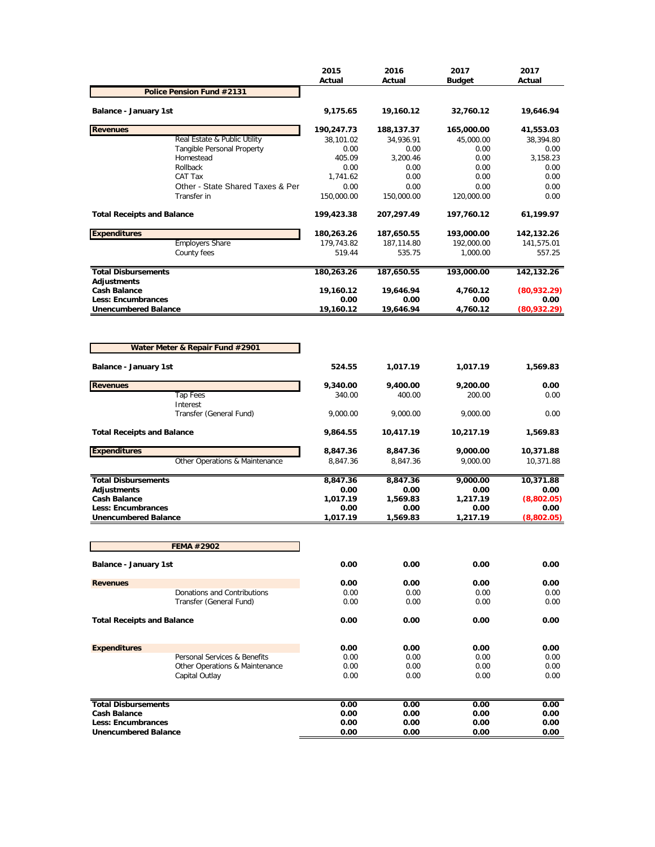|                                                          |                                                        | 2015<br>Actual     | 2016<br>Actual     | 2017<br><b>Budget</b> | 2017<br>Actual      |
|----------------------------------------------------------|--------------------------------------------------------|--------------------|--------------------|-----------------------|---------------------|
|                                                          | <b>Police Pension Fund #2131</b>                       |                    |                    |                       |                     |
| <b>Balance - January 1st</b>                             |                                                        | 9,175.65           | 19,160.12          | 32,760.12             | 19,646.94           |
| <b>Revenues</b>                                          |                                                        | 190,247.73         | 188,137.37         | 165,000.00            | 41,553.03           |
|                                                          | Real Estate & Public Utility                           | 38,101.02          | 34,936.91          | 45,000.00             | 38,394.80           |
|                                                          | <b>Tangible Personal Property</b><br>Homestead         | 0.00<br>405.09     | 0.00<br>3,200.46   | 0.00<br>0.00          | 0.00<br>3,158.23    |
|                                                          | Rollback                                               | 0.00               | 0.00               | 0.00                  | 0.00                |
|                                                          | CAT Tax                                                | 1,741.62           | 0.00               | 0.00                  | 0.00                |
|                                                          | Other - State Shared Taxes & Per                       | 0.00               | 0.00               | 0.00                  | 0.00                |
|                                                          | Transfer in                                            | 150,000.00         | 150,000.00         | 120,000.00            | 0.00                |
| <b>Total Receipts and Balance</b>                        |                                                        | 199,423.38         | 207,297.49         | 197,760.12            | 61,199.97           |
| <b>Expenditures</b>                                      |                                                        | 180,263.26         | 187,650.55         | 193,000.00            | 142,132.26          |
|                                                          | <b>Employers Share</b>                                 | 179,743.82         | 187,114.80         | 192,000.00            | 141,575.01          |
|                                                          | County fees                                            | 519.44             | 535.75             | 1,000.00              | 557.25              |
| <b>Total Disbursements</b><br><b>Adjustments</b>         |                                                        | 180,263.26         | 187,650.55         | 193,000.00            | 142,132.26          |
| <b>Cash Balance</b>                                      |                                                        | 19,160.12          | 19,646.94          | 4,760.12              | (80,932.29)         |
| <b>Less: Encumbrances</b><br><b>Unencumbered Balance</b> |                                                        | 0.00<br>19,160.12  | 0.00<br>19,646.94  | 0.00<br>4,760.12      | 0.00<br>(80,932.29) |
|                                                          | Water Meter & Repair Fund #2901                        |                    |                    |                       |                     |
| <b>Balance - January 1st</b>                             |                                                        | 524.55             | 1,017.19           | 1,017.19              | 1,569.83            |
|                                                          |                                                        |                    |                    |                       |                     |
| <b>Revenues</b>                                          |                                                        | 9,340.00           | 9,400.00           | 9,200.00              | 0.00                |
|                                                          | <b>Tap Fees</b><br>Interest<br>Transfer (General Fund) | 340.00<br>9,000.00 | 400.00<br>9,000.00 | 200.00<br>9,000.00    | 0.00<br>0.00        |
| <b>Total Receipts and Balance</b>                        |                                                        | 9,864.55           | 10,417.19          | 10,217.19             | 1,569.83            |
| <b>Expenditures</b>                                      |                                                        | 8,847.36           | 8,847.36           | 9,000.00              | 10,371.88           |
|                                                          | Other Operations & Maintenance                         | 8,847.36           | 8,847.36           | 9,000.00              | 10,371.88           |
| <b>Total Disbursements</b>                               |                                                        | 8,847.36           | 8,847.36           | 9,000.00              | 10,371.88           |
| Adjustments                                              |                                                        | 0.00               | 0.00               | 0.00                  | 0.00                |
| <b>Cash Balance</b>                                      |                                                        | 1,017.19           | 1,569.83           | 1,217.19              | (8,802.05)          |
| <b>Less: Encumbrances</b><br><b>Unencumbered Balance</b> |                                                        | 0.00<br>1,017.19   | 0.00<br>1,569.83   | 0.00<br>1,217.19      | 0.00<br>(8,802.05)  |
|                                                          |                                                        |                    |                    |                       |                     |
|                                                          | <b>FEMA #2902</b>                                      |                    |                    |                       |                     |
| Balance - January 1st                                    |                                                        | 0.00               | 0.00               | 0.00                  | 0.00                |
| <b>Revenues</b>                                          |                                                        | 0.00               | 0.00               | 0.00                  | 0.00                |
|                                                          | Donations and Contributions                            | 0.00               | 0.00               | 0.00                  | 0.00                |
|                                                          | Transfer (General Fund)                                | 0.00               | 0.00               | 0.00                  | 0.00                |
| <b>Total Receipts and Balance</b>                        |                                                        | 0.00               | 0.00               | 0.00                  | 0.00                |
| <b>Expenditures</b>                                      |                                                        | 0.00               | 0.00               | 0.00                  | 0.00                |
|                                                          | Personal Services & Benefits                           | 0.00               | 0.00               | 0.00                  | 0.00                |
|                                                          | Other Operations & Maintenance<br>Capital Outlay       | 0.00<br>0.00       | 0.00<br>0.00       | 0.00<br>0.00          | 0.00<br>0.00        |
| <b>Total Disbursements</b>                               |                                                        | 0.00               | 0.00               | 0.00                  | 0.00                |
| <b>Cash Balance</b>                                      |                                                        | 0.00               | 0.00               | 0.00                  | 0.00                |
| Less: Encumbrances                                       |                                                        | 0.00               | 0.00               | 0.00                  | 0.00                |
| <b>Unencumbered Balance</b>                              |                                                        | 0.00               | 0.00               | 0.00                  | 0.00                |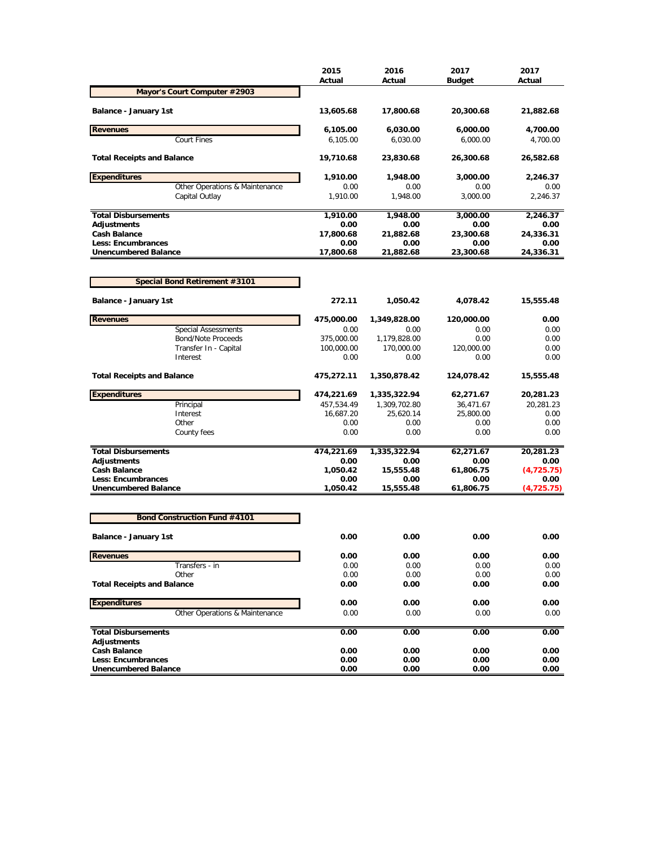|                                     | 2015<br>Actual | 2016<br>Actual | 2017<br><b>Budget</b> | 2017<br>Actual |
|-------------------------------------|----------------|----------------|-----------------------|----------------|
| Mayor's Court Computer #2903        |                |                |                       |                |
| Balance - January 1st               | 13,605.68      | 17,800.68      | 20,300.68             | 21,882.68      |
| <b>Revenues</b>                     | 6,105.00       | 6,030.00       | 6,000.00              | 4,700.00       |
| <b>Court Fines</b>                  | 6,105.00       | 6,030.00       | 6,000.00              | 4,700.00       |
| <b>Total Receipts and Balance</b>   | 19,710.68      | 23,830.68      | 26,300.68             | 26,582.68      |
| <b>Expenditures</b>                 | 1,910.00       | 1,948.00       | 3,000.00              | 2,246.37       |
| Other Operations & Maintenance      | 0.00           | 0.00           | 0.00                  | 0.00           |
| Capital Outlay                      | 1,910.00       | 1,948.00       | 3.000.00              | 2,246.37       |
| <b>Total Disbursements</b>          | 1,910.00       | 1,948.00       | 3,000.00              | 2.246.37       |
| <b>Adjustments</b>                  | 0.00           | 0.00           | 0.00                  | 0.00           |
| <b>Cash Balance</b>                 | 17,800.68      | 21,882.68      | 23,300.68             | 24,336.31      |
| <b>Less: Encumbrances</b>           | 0.00           | 0.00           | 0.00                  | 0.00           |
| <b>Unencumbered Balance</b>         | 17,800.68      | 21,882.68      | 23,300.68             | 24,336.31      |
| Special Bond Retirement #3101       |                |                |                       |                |
| <b>Balance - January 1st</b>        | 272.11         | 1,050.42       | 4,078.42              | 15,555.48      |
| <b>Revenues</b>                     | 475,000.00     | 1,349,828.00   | 120,000.00            | 0.00           |
| <b>Special Assessments</b>          | 0.00           | 0.00           | 0.00                  | 0.00           |
| <b>Bond/Note Proceeds</b>           | 375,000.00     | 1,179,828.00   | 0.00                  | 0.00           |
| Transfer In - Capital               | 100,000.00     | 170,000.00     | 120,000.00            | 0.00           |
| Interest                            | 0.00           | 0.00           | 0.00                  | 0.00           |
| <b>Total Receipts and Balance</b>   | 475,272.11     | 1,350,878.42   | 124,078.42            | 15,555.48      |
| <b>Expenditures</b>                 | 474,221.69     | 1,335,322.94   | 62,271.67             | 20,281.23      |
| Principal                           | 457,534.49     | 1,309,702.80   | 36,471.67             | 20,281.23      |
| Interest                            | 16,687.20      | 25,620.14      | 25,800.00             | 0.00           |
| Other                               | 0.00           | 0.00           | 0.00                  | 0.00           |
| County fees                         | 0.00           | 0.00           | 0.00                  | 0.00           |
| <b>Total Disbursements</b>          | 474,221.69     | 1,335,322.94   | 62,271.67             | 20,281.23      |
| <b>Adjustments</b>                  | 0.00           | 0.00           | 0.00                  | 0.00           |
| <b>Cash Balance</b>                 | 1,050.42       | 15,555.48      | 61,806.75             | (4,725.75)     |
| <b>Less: Encumbrances</b>           | 0.00           | 0.00           | 0.00                  | 0.00           |
| <b>Unencumbered Balance</b>         | 1,050.42       | 15,555.48      | 61,806.75             | (4, 725.75)    |
| <b>Bond Construction Fund #4101</b> |                |                |                       |                |
| <b>Balance - January 1st</b>        | 0.00           | 0.00           | 0.00                  | 0.00           |
| <b>Revenues</b>                     | 0.00           | 0.00           | 0.00                  | 0.00           |
| Transfers - in                      | 0.00           | 0.00           | 0.00                  | 0.00           |
| Other                               | 0.00           | 0.00           | 0.00                  | 0.00           |
| <b>Total Receipts and Balance</b>   | 0.00           | 0.00           | 0.00                  | 0.00           |
| <b>Expenditures</b>                 | 0.00           | 0.00           | 0.00                  | 0.00           |
| Other Operations & Maintenance      | 0.00           | 0.00           | 0.00                  | 0.00           |
|                                     |                |                |                       |                |
| <b>Total Disbursements</b>          | 0.00           | 0.00           | 0.00                  | 0.00           |
| Adjustments<br><b>Cash Balance</b>  | 0.00           | 0.00           | 0.00                  | 0.00           |
| <b>Less: Encumbrances</b>           | 0.00           | 0.00           | 0.00                  | 0.00           |
| <b>Unencumbered Balance</b>         | 0.00           | 0.00           | 0.00                  | 0.00           |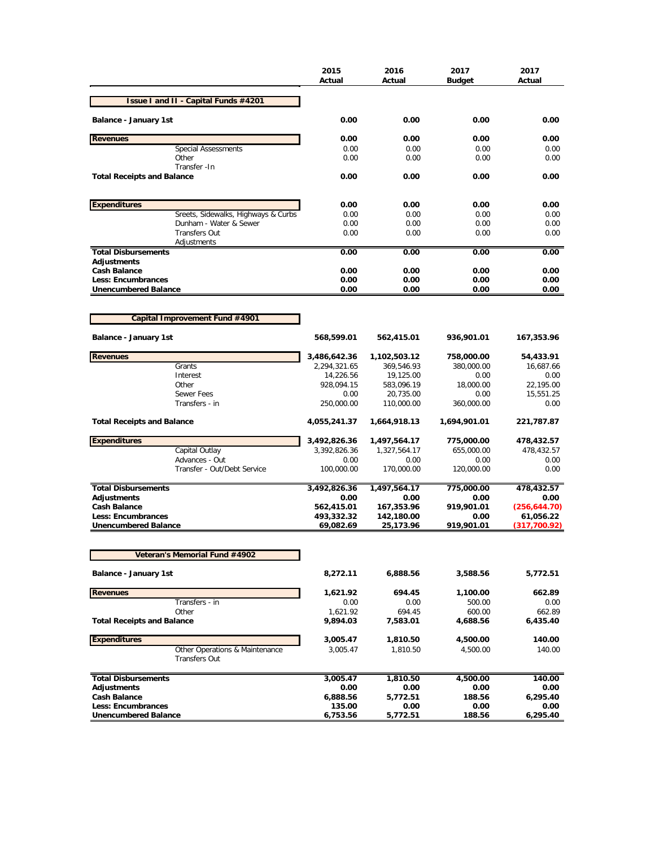|                                           |                                      | 2015<br>Actual | 2016<br>Actual | 2017<br><b>Budget</b> | 2017<br>Actual |
|-------------------------------------------|--------------------------------------|----------------|----------------|-----------------------|----------------|
|                                           | Issue I and II - Capital Funds #4201 |                |                |                       |                |
| Balance - January 1st                     |                                      | 0.00           | 0.00           | 0.00                  | 0.00           |
| <b>Revenues</b>                           |                                      | 0.00           | 0.00           | 0.00                  | 0.00           |
|                                           | <b>Special Assessments</b>           | 0.00           | 0.00           | 0.00                  | 0.00           |
|                                           | Other                                | 0.00           | 0.00           | 0.00                  | 0.00           |
| <b>Total Receipts and Balance</b>         | Transfer - In                        | 0.00           | 0.00           | 0.00                  | 0.00           |
| <b>Expenditures</b>                       |                                      | 0.00           | 0.00           | 0.00                  | 0.00           |
|                                           | Sreets, Sidewalks, Highways & Curbs  | 0.00           | 0.00           | 0.00                  | 0.00           |
|                                           | Dunham - Water & Sewer               | 0.00           | 0.00           | 0.00                  | 0.00           |
|                                           | <b>Transfers Out</b>                 | 0.00           | 0.00           | 0.00                  | 0.00           |
|                                           | Adjustments                          |                |                |                       |                |
| <b>Total Disbursements</b><br>Adjustments |                                      | 0.00           | 0.00           | 0.00                  | 0.00           |
| <b>Cash Balance</b>                       |                                      | 0.00           | 0.00           | 0.00                  | 0.00           |
| Less: Encumbrances                        |                                      | 0.00           | 0.00           | 0.00                  | 0.00           |
| <b>Unencumbered Balance</b>               |                                      | 0.00           | 0.00           | 0.00                  | 0.00           |
|                                           |                                      |                |                |                       |                |
|                                           | Capital Improvement Fund #4901       |                |                |                       |                |
| Balance - January 1st                     |                                      | 568,599.01     | 562,415.01     | 936,901.01            | 167,353.96     |
| <b>Revenues</b>                           |                                      | 3,486,642.36   | 1,102,503.12   | 758,000.00            | 54,433.91      |
|                                           | Grants                               | 2,294,321.65   | 369,546.93     | 380,000.00            | 16,687.66      |
|                                           | Interest                             | 14,226.56      | 19,125.00      | 0.00                  | 0.00           |
|                                           | Other                                | 928,094.15     | 583,096.19     | 18,000.00             | 22,195.00      |
|                                           | <b>Sewer Fees</b>                    | 0.00           | 20,735.00      | 0.00                  | 15,551.25      |
|                                           | Transfers - in                       | 250,000.00     | 110,000.00     | 360,000.00            | 0.00           |
| <b>Total Receipts and Balance</b>         |                                      | 4,055,241.37   | 1,664,918.13   | 1,694,901.01          | 221,787.87     |
| <b>Expenditures</b>                       |                                      | 3,492,826.36   | 1,497,564.17   | 775,000.00            | 478,432.57     |
|                                           | Capital Outlay                       | 3,392,826.36   | 1,327,564.17   | 655,000.00            | 478,432.57     |
|                                           | Advances - Out                       | 0.00           | 0.00           | 0.00                  | 0.00           |
|                                           | Transfer - Out/Debt Service          | 100,000.00     | 170,000.00     | 120,000.00            | 0.00           |
| <b>Total Disbursements</b>                |                                      | 3,492,826.36   | 1,497,564.17   | 775,000.00            | 478,432.57     |
| <b>Adjustments</b>                        |                                      | 0.00           | 0.00           | 0.00                  | 0.00           |
| <b>Cash Balance</b>                       |                                      | 562,415.01     | 167,353.96     | 919,901.01            | (256, 644.70)  |
| Less: Encumbrances                        |                                      | 493,332.32     | 142,180.00     | 0.00                  | 61,056.22      |
| <b>Unencumbered Balance</b>               |                                      | 69,082.69      | 25,173.96      | 919,901.01            | (317,700.92)   |
|                                           | Veteran's Memorial Fund #4902        |                |                |                       |                |
| Balance - January 1st                     |                                      | 8,272.11       | 6,888.56       | 3,588.56              | 5,772.51       |
| <b>Revenues</b>                           |                                      | 1,621.92       | 694.45         | 1,100.00              | 662.89         |
|                                           | Transfers - in                       | 0.00           | 0.00           | 500.00                | 0.00           |
|                                           | Other                                | 1,621.92       | 694.45         | 600.00                | 662.89         |
| <b>Total Receipts and Balance</b>         |                                      | 9,894.03       | 7,583.01       | 4,688.56              | 6,435.40       |
| <b>Expenditures</b>                       |                                      | 3,005.47       | 1,810.50       | 4,500.00              | 140.00         |
|                                           | Other Operations & Maintenance       | 3,005.47       | 1,810.50       | 4,500.00              | 140.00         |
|                                           | <b>Transfers Out</b>                 |                |                |                       |                |
| <b>Total Disbursements</b>                |                                      | 3,005.47       | 1,810.50       | 4,500.00              | 140.00         |
| <b>Adjustments</b>                        |                                      | 0.00           | 0.00           | 0.00                  | 0.00           |
| <b>Cash Balance</b>                       |                                      | 6,888.56       | 5,772.51       | 188.56                | 6,295.40       |
| Less: Encumbrances                        |                                      | 135.00         | 0.00           | 0.00                  | 0.00           |
| <b>Unencumbered Balance</b>               |                                      | 6,753.56       | 5,772.51       | 188.56                | 6,295.40       |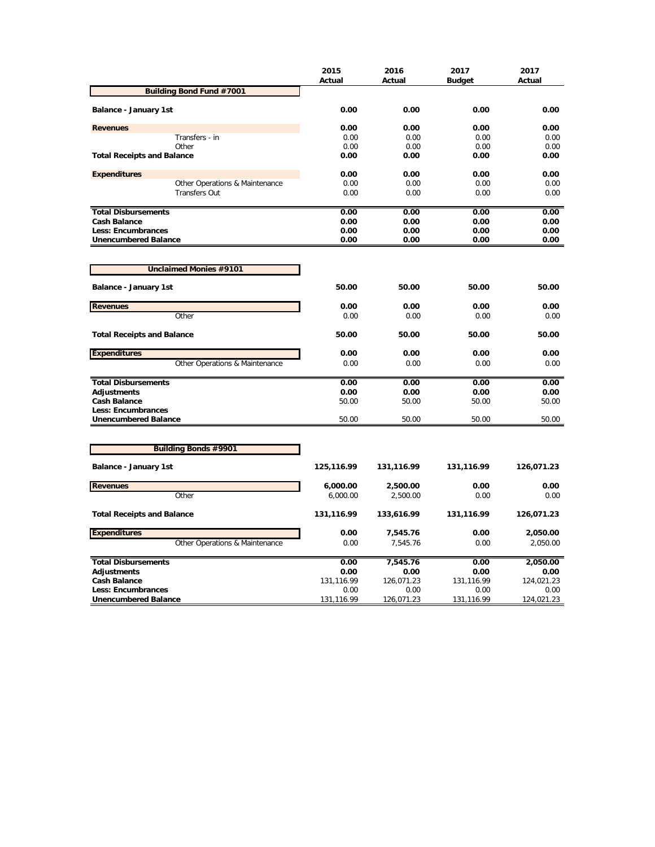|                                   | 2015<br>Actual | 2016<br>Actual | 2017<br><b>Budget</b> | 2017<br>Actual |
|-----------------------------------|----------------|----------------|-----------------------|----------------|
| <b>Building Bond Fund #7001</b>   |                |                |                       |                |
| Balance - January 1st             | 0.00           | 0.00           | 0.00                  | 0.00           |
| <b>Revenues</b>                   | 0.00           | 0.00           | 0.00                  | 0.00           |
| Transfers - in                    | 0.00           | 0.00           | 0.00                  | 0.00           |
| Other                             | 0.00           | 0.00           | 0.00                  | 0.00           |
| <b>Total Receipts and Balance</b> | 0.00           | 0.00           | 0.00                  | 0.00           |
| <b>Expenditures</b>               | 0.00           | 0.00           | 0.00                  | 0.00           |
| Other Operations & Maintenance    | 0.00           | 0.00           | 0.00                  | 0.00           |
| <b>Transfers Out</b>              | 0.00           | 0.00           | 0.00                  | 0.00           |
| <b>Total Disbursements</b>        | 0.00           | 0.00           | 0.00                  | 0.00           |
| <b>Cash Balance</b>               | 0.00           | 0.00           | 0.00                  | 0.00           |
| <b>Less: Encumbrances</b>         | 0.00           | 0.00           | 0.00                  | 0.00           |
| <b>Unencumbered Balance</b>       | 0.00           | 0.00           | 0.00                  | 0.00           |
|                                   |                |                |                       |                |
| <b>Unclaimed Monies #9101</b>     |                |                |                       |                |
| Balance - January 1st             | 50.00          | 50.00          | 50.00                 | 50.00          |
| <b>Revenues</b>                   | 0.00           | 0.00           | 0.00                  | 0.00           |
| Other                             | 0.00           | 0.00           | 0.00                  | 0.00           |
| <b>Total Receipts and Balance</b> | 50.00          | 50.00          | 50.00                 | 50.00          |
| <b>Expenditures</b>               | 0.00           | 0.00           | 0.00                  | 0.00           |
| Other Operations & Maintenance    | 0.00           | 0.00           | 0.00                  | 0.00           |
| <b>Total Disbursements</b>        | 0.00           | 0.00           | 0.00                  | 0.00           |
| Adjustments                       | 0.00           | 0.00           | 0.00                  | 0.00           |
| <b>Cash Balance</b>               | 50.00          | 50.00          | 50.00                 | 50.00          |
| <b>Less: Encumbrances</b>         |                |                |                       |                |
| <b>Unencumbered Balance</b>       | 50.00          | 50.00          | 50.00                 | 50.00          |
|                                   |                |                |                       |                |
| <b>Building Bonds #9901</b>       |                |                |                       |                |
| Balance - January 1st             | 125,116.99     | 131,116.99     | 131,116.99            | 126,071.23     |
| <b>Revenues</b>                   | 6,000.00       | 2,500.00       | 0.00                  | 0.00           |
| Other                             | 6,000.00       | 2,500.00       | 0.00                  | 0.00           |
| <b>Total Receipts and Balance</b> | 131,116.99     | 133,616.99     | 131,116.99            | 126,071.23     |
| <b>Expenditures</b>               | 0.00           | 7,545.76       | 0.00                  | 2,050.00       |
| Other Operations & Maintenance    | 0.00           | 7,545.76       | 0.00                  | 2,050.00       |
| <b>Total Disbursements</b>        | 0.00           | 7,545.76       | 0.00                  | 2,050.00       |
| <b>Adjustments</b>                | 0.00           | 0.00           | 0.00                  | 0.00           |
| <b>Cash Balance</b>               | 131,116.99     | 126,071.23     | 131,116.99            | 124,021.23     |
| Less: Encumbrances                | 0.00           | 0.00           | 0.00                  | 0.00           |
| <b>Unencumbered Balance</b>       | 131,116.99     | 126,071.23     | 131,116.99            | 124,021.23     |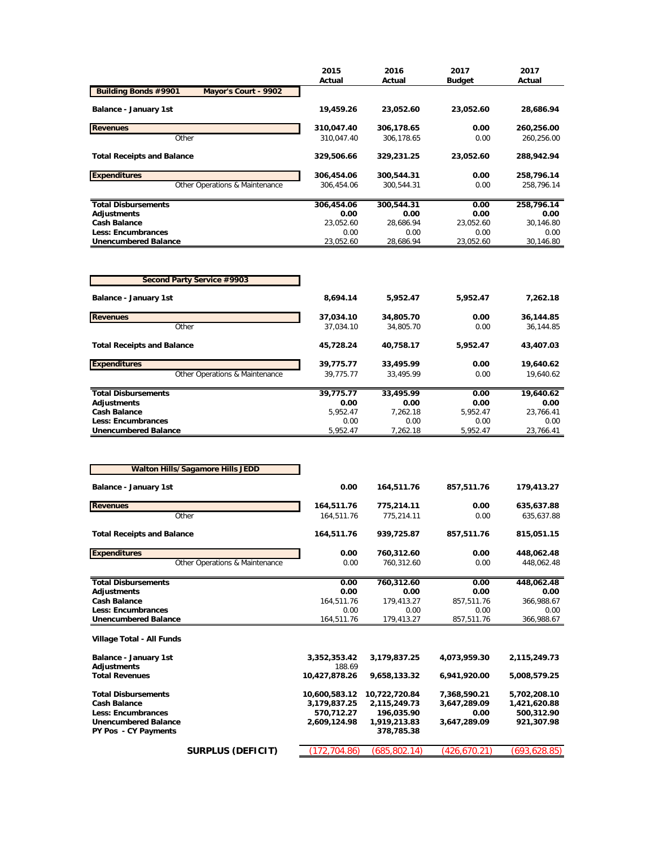|                                                     | 2015       | 2016       | 2017          | 2017       |
|-----------------------------------------------------|------------|------------|---------------|------------|
|                                                     | Actual     | Actual     | <b>Budget</b> | Actual     |
| <b>Building Bonds #9901</b><br>Mayor's Court - 9902 |            |            |               |            |
| Balance - January 1st                               | 19,459.26  | 23,052.60  | 23,052.60     | 28,686.94  |
| <b>Revenues</b>                                     | 310,047.40 | 306,178.65 | 0.00          | 260,256.00 |
| Other                                               | 310.047.40 | 306.178.65 | 0.00          | 260.256.00 |
| <b>Total Receipts and Balance</b>                   | 329,506.66 | 329,231.25 | 23,052.60     | 288,942.94 |
| <b>Expenditures</b>                                 | 306,454.06 | 300,544.31 | 0.00          | 258,796.14 |
| Other Operations & Maintenance                      | 306.454.06 | 300.544.31 | 0.00          | 258.796.14 |
| <b>Total Disbursements</b>                          | 306,454.06 | 300,544.31 | 0.00          | 258,796.14 |
| Adjustments                                         | 0.00       | 0.00       | 0.00          | 0.00       |
| <b>Cash Balance</b>                                 | 23.052.60  | 28.686.94  | 23.052.60     | 30.146.80  |
| <b>Less: Encumbrances</b>                           | 0.00       | 0.00       | 0.00          | 0.00       |
| <b>Unencumbered Balance</b>                         | 23,052.60  | 28,686.94  | 23,052.60     | 30,146.80  |

| Second Party Service #9903        |           |           |          |           |
|-----------------------------------|-----------|-----------|----------|-----------|
| Balance - January 1st             | 8.694.14  | 5.952.47  | 5,952.47 | 7,262.18  |
| <b>Revenues</b>                   | 37,034.10 | 34,805.70 | 0.00     | 36,144.85 |
| Other                             | 37.034.10 | 34,805.70 | 0.00     | 36,144.85 |
| <b>Total Receipts and Balance</b> | 45.728.24 | 40.758.17 | 5,952.47 | 43,407.03 |
| <b>Expenditures</b>               | 39,775.77 | 33,495.99 | 0.00     | 19,640.62 |
| Other Operations & Maintenance    | 39.775.77 | 33.495.99 | 0.00     | 19.640.62 |
| <b>Total Disbursements</b>        | 39,775.77 | 33,495.99 | 0.00     | 19,640.62 |
| Adjustments                       | 0.00      | 0.00      | 0.00     | 0.00      |
| <b>Cash Balance</b>               | 5.952.47  | 7.262.18  | 5.952.47 | 23.766.41 |
| Less: Encumbrances                | 0.00      | 0.00      | 0.00     | 0.00      |
| <b>Unencumbered Balance</b>       | 5.952.47  | 7.262.18  | 5.952.47 | 23.766.41 |

| <b>Walton Hills/Sagamore Hills JEDD</b>                    |                                |                        |                            |              |              |  |
|------------------------------------------------------------|--------------------------------|------------------------|----------------------------|--------------|--------------|--|
| Balance - January 1st                                      | 0.00                           | 164,511.76             | 857,511.76                 | 179,413.27   |              |  |
| <b>Revenues</b>                                            |                                | 164,511.76             | 775,214.11                 | 0.00         | 635,637.88   |  |
| Other                                                      |                                | 164,511.76             | 775.214.11                 | 0.00         | 635,637.88   |  |
| <b>Total Receipts and Balance</b>                          |                                | 164,511.76             | 939,725.87                 | 857,511.76   | 815,051.15   |  |
| <b>Expenditures</b>                                        |                                | 0.00                   | 760,312.60                 | 0.00         | 448,062.48   |  |
|                                                            | Other Operations & Maintenance | 0.00                   | 760,312.60                 | 0.00         | 448,062.48   |  |
| <b>Total Disbursements</b>                                 |                                | 0.00                   | 760,312.60                 | 0.00         | 448,062.48   |  |
| <b>Adjustments</b>                                         |                                | 0.00                   | 0.00                       | 0.00         | 0.00         |  |
| <b>Cash Balance</b>                                        |                                | 164,511.76             | 179,413.27                 | 857,511.76   | 366,988.67   |  |
| <b>Less: Encumbrances</b>                                  |                                | 0.00                   | 0.00                       | 0.00         | 0.00         |  |
| <b>Unencumbered Balance</b>                                |                                | 164,511.76             | 179,413.27                 | 857,511.76   | 366,988.67   |  |
| Village Total - All Funds                                  |                                |                        |                            |              |              |  |
| Balance - January 1st<br><b>Adjustments</b>                |                                | 3,352,353.42<br>188.69 | 3,179,837.25               | 4,073,959.30 | 2,115,249.73 |  |
| <b>Total Revenues</b>                                      |                                | 10,427,878.26          | 9,658,133.32               | 6,941,920.00 | 5,008,579.25 |  |
| <b>Total Disbursements</b>                                 |                                | 10,600,583.12          | 10,722,720.84              | 7,368,590.21 | 5,702,208.10 |  |
| <b>Cash Balance</b>                                        |                                | 3,179,837.25           | 2,115,249.73               | 3,647,289.09 | 1,421,620.88 |  |
| <b>Less: Encumbrances</b>                                  |                                | 570,712.27             | 196,035.90                 | 0.00         | 500,312.90   |  |
| <b>Unencumbered Balance</b><br><b>PY Pos - CY Payments</b> |                                | 2,609,124.98           | 1,919,213.83<br>378,785.38 | 3,647,289.09 | 921,307.98   |  |
|                                                            | <b>SURPLUS (DEFICIT)</b>       | (172, 704.86)          | (685,802.14)               | (426,670.21) | (693,628.85) |  |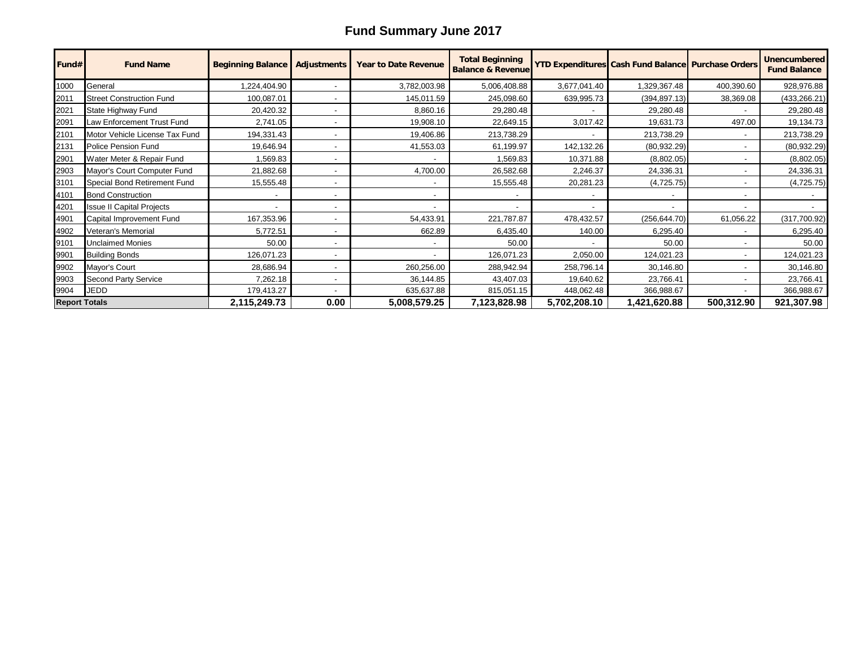## **Fund Summary June 2017**

| Fund#                | <b>Fund Name</b>                 | <b>Beginning Balance</b> | <b>Adjustments</b>       | <b>Year to Date Revenue</b> | <b>Total Beginning</b><br><b>Balance &amp; Revenue</b> |                          | YTD Expenditures Cash Fund Balance Purchase Orders |            | <b>Unencumbered</b><br><b>Fund Balance</b> |
|----------------------|----------------------------------|--------------------------|--------------------------|-----------------------------|--------------------------------------------------------|--------------------------|----------------------------------------------------|------------|--------------------------------------------|
| 1000                 | General                          | ,224,404.90              |                          | 3,782,003.98                | 5,006,408.88                                           | 3,677,041.40             | 1,329,367.48                                       | 400,390.60 | 928,976.88                                 |
| 2011                 | <b>Street Construction Fund</b>  | 100,087.01               | $\overline{\phantom{a}}$ | 145,011.59                  | 245,098.60                                             | 639,995.73               | (394, 897.13)                                      | 38,369.08  | (433, 266.21)                              |
| 2021                 | State Highway Fund               | 20,420.32                |                          | 8,860.16                    | 29,280.48                                              |                          | 29,280.48                                          |            | 29,280.48                                  |
| 2091                 | Law Enforcement Trust Fund       | 2,741.05                 |                          | 19,908.10                   | 22,649.15                                              | 3,017.42                 | 19,631.73                                          | 497.00     | 19,134.73                                  |
| 2101                 | Motor Vehicle License Tax Fund   | 194,331.43               | $\overline{\phantom{0}}$ | 19,406.86                   | 213,738.29                                             |                          | 213,738.29                                         |            | 213,738.29                                 |
| 2131                 | <b>Police Pension Fund</b>       | 19,646.94                | $\overline{\phantom{a}}$ | 41,553.03                   | 61,199.97                                              | 142,132.26               | (80, 932.29)                                       |            | (80, 932.29)                               |
| 2901                 | Water Meter & Repair Fund        | 1,569.83                 |                          |                             | 1,569.83                                               | 10,371.88                | (8,802.05)                                         |            | (8,802.05)                                 |
| 2903                 | Mayor's Court Computer Fund      | 21,882.68                |                          | 4,700.00                    | 26,582.68                                              | 2,246.37                 | 24,336.31                                          |            | 24,336.31                                  |
| 3101                 | Special Bond Retirement Fund     | 15,555.48                |                          |                             | 15,555.48                                              | 20,281.23                | (4,725.75)                                         |            | (4,725.75)                                 |
| 4101                 | <b>Bond Construction</b>         |                          | $\overline{\phantom{a}}$ |                             |                                                        | -                        |                                                    |            |                                            |
| 4201                 | <b>Issue II Capital Projects</b> |                          | $\overline{\phantom{a}}$ |                             |                                                        | $\overline{\phantom{a}}$ |                                                    |            |                                            |
| 4901                 | Capital Improvement Fund         | 167,353.96               |                          | 54,433.91                   | 221,787.87                                             | 478,432.57               | (256, 644.70)                                      | 61,056.22  | (317,700.92)                               |
| 4902                 | Veteran's Memorial               | 5,772.51                 | $\overline{\phantom{a}}$ | 662.89                      | 6,435.40                                               | 140.00                   | 6,295.40                                           |            | 6,295.40                                   |
| 9101                 | <b>Unclaimed Monies</b>          | 50.00                    | $\overline{\phantom{a}}$ |                             | 50.00                                                  |                          | 50.00                                              |            | 50.00                                      |
| 9901                 | <b>Building Bonds</b>            | 126,071.23               |                          |                             | 126,071.23                                             | 2,050.00                 | 124,021.23                                         |            | 124,021.23                                 |
| 9902                 | Mayor's Court                    | 28,686.94                | $\overline{\phantom{a}}$ | 260,256.00                  | 288,942.94                                             | 258,796.14               | 30,146.80                                          |            | 30,146.80                                  |
| 9903                 | <b>Second Party Service</b>      | 7,262.18                 | $\overline{\phantom{a}}$ | 36,144.85                   | 43,407.03                                              | 19,640.62                | 23,766.41                                          |            | 23,766.41                                  |
| 9904                 | <b>JEDD</b>                      | 179,413.27               |                          | 635,637.88                  | 815,051.15                                             | 448,062.48               | 366,988.67                                         |            | 366,988.67                                 |
| <b>Report Totals</b> |                                  | 2,115,249.73             | 0.00                     | 5,008,579.25                | 7,123,828.98                                           | 5,702,208.10             | 1,421,620.88                                       | 500,312.90 | 921,307.98                                 |